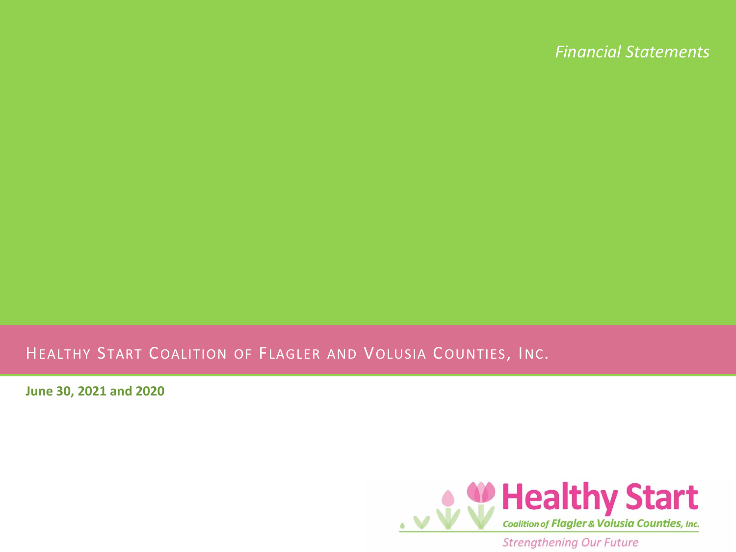*Financial Statements*

HEALTHY START COALITION OF FLAGLER AND VOLUSIA COUNTIES, INC.

**June 30, 2021 and 2020**

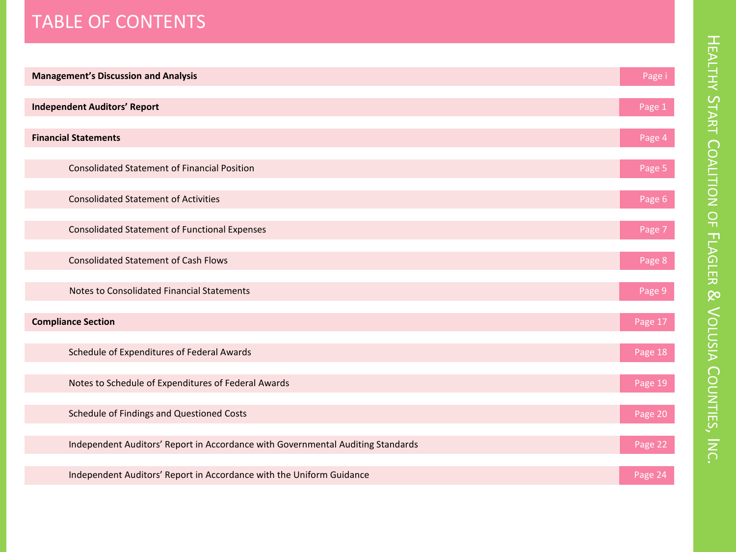# TABLE OF CONTENTS

| <b>Management's Discussion and Analysis</b>                                     | Page i            |
|---------------------------------------------------------------------------------|-------------------|
| <b>Independent Auditors' Report</b>                                             | Page 1            |
|                                                                                 |                   |
| <b>Financial Statements</b>                                                     | Page 4            |
| <b>Consolidated Statement of Financial Position</b>                             | Page <sub>5</sub> |
| <b>Consolidated Statement of Activities</b>                                     | Page 6            |
| <b>Consolidated Statement of Functional Expenses</b>                            | Page 7            |
| <b>Consolidated Statement of Cash Flows</b>                                     | Page 8            |
| Notes to Consolidated Financial Statements                                      | Page 9            |
| <b>Compliance Section</b>                                                       | Page 17           |
| Schedule of Expenditures of Federal Awards                                      | Page 18           |
| Notes to Schedule of Expenditures of Federal Awards                             | Page 19           |
| Schedule of Findings and Questioned Costs                                       | Page 20           |
| Independent Auditors' Report in Accordance with Governmental Auditing Standards | Page 22           |
| Independent Auditors' Report in Accordance with the Uniform Guidance            | Page 24           |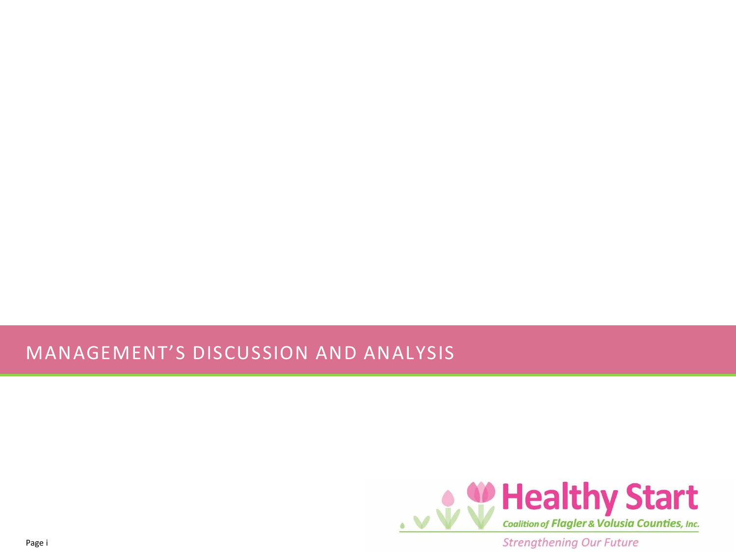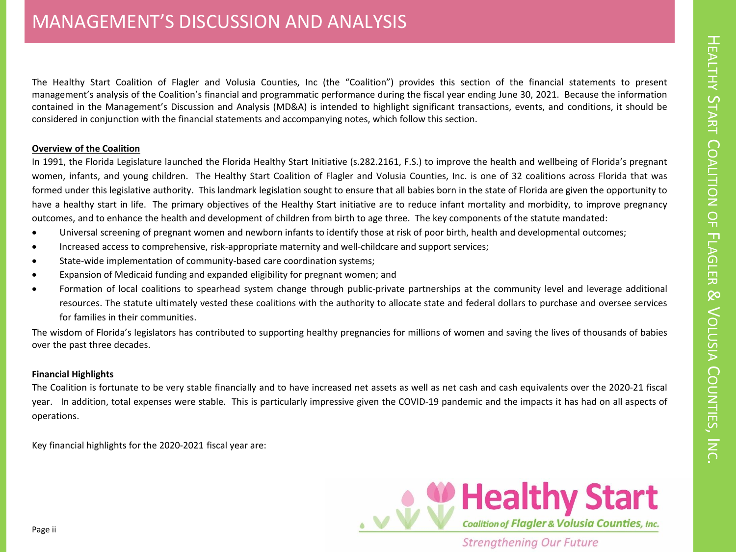The Healthy Start Coalition of Flagler and Volusia Counties, Inc (the "Coalition") provides this section of the financial statements to present management's analysis of the Coalition's financial and programmatic performance during the fiscal year ending June 30, 2021. Because the information contained in the Management's Discussion and Analysis (MD&A) is intended to highlight significant transactions, events, and conditions, it should be considered in conjunction with the financial statements and accompanying notes, which follow this section.

## **Overview of the Coalition**

In 1991, the Florida Legislature launched the Florida Healthy Start Initiative (s.282.2161, F.S.) to improve the health and wellbeing of Florida's pregnant women, infants, and young children. The Healthy Start Coalition of Flagler and Volusia Counties, Inc. is one of 32 coalitions across Florida that was formed under this legislative authority. This landmark legislation sought to ensure that all babies born in the state of Florida are given the opportunity to have a healthy start in life. The primary objectives of the Healthy Start initiative are to reduce infant mortality and morbidity, to improve pregnancy outcomes, and to enhance the health and development of children from birth to age three. The key components of the statute mandated:

- Universal screening of pregnant women and newborn infants to identify those at risk of poor birth, health and developmental outcomes;
- Increased access to comprehensive, risk-appropriate maternity and well-childcare and support services;
- State-wide implementation of community-based care coordination systems;
- Expansion of Medicaid funding and expanded eligibility for pregnant women; and
- Formation of local coalitions to spearhead system change through public-private partnerships at the community level and leverage additional resources. The statute ultimately vested these coalitions with the authority to allocate state and federal dollars to purchase and oversee services for families in their communities.

The wisdom of Florida's legislators has contributed to supporting healthy pregnancies for millions of women and saving the lives of thousands of babies over the past three decades.

## **Financial Highlights**

The Coalition is fortunate to be very stable financially and to have increased net assets as well as net cash and cash equivalents over the 2020-21 fiscal year. In addition, total expenses were stable. This is particularly impressive given the COVID-19 pandemic and the impacts it has had on all aspects of operations.

Key financial highlights for the 2020-2021 fiscal year are:

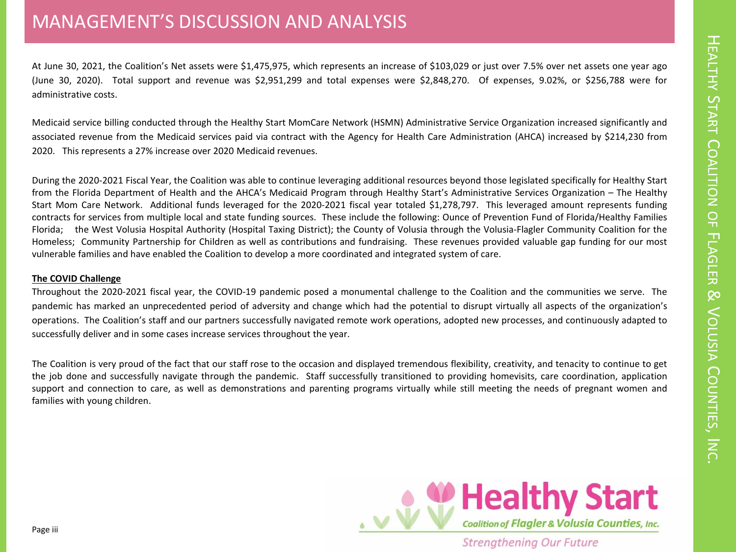At June 30, 2021, the Coalition's Net assets were \$1,475,975, which represents an increase of \$103,029 or just over 7.5% over net assets one year ago (June 30, 2020). Total support and revenue was \$2,951,299 and total expenses were \$2,848,270. Of expenses, 9.02%, or \$256,788 were for administrative costs.

Medicaid service billing conducted through the Healthy Start MomCare Network (HSMN) Administrative Service Organization increased significantly and associated revenue from the Medicaid services paid via contract with the Agency for Health Care Administration (AHCA) increased by \$214,230 from 2020. This represents a 27% increase over 2020 Medicaid revenues.

During the 2020-2021 Fiscal Year, the Coalition was able to continue leveraging additional resources beyond those legislated specifically for Healthy Start from the Florida Department of Health and the AHCA's Medicaid Program through Healthy Start's Administrative Services Organization – The Healthy Start Mom Care Network. Additional funds leveraged for the 2020-2021 fiscal year totaled \$1,278,797. This leveraged amount represents funding contracts for services from multiple local and state funding sources. These include the following: Ounce of Prevention Fund of Florida/Healthy Families Florida; the West Volusia Hospital Authority (Hospital Taxing District); the County of Volusia through the Volusia-Flagler Community Coalition for the Homeless; Community Partnership for Children as well as contributions and fundraising. These revenues provided valuable gap funding for our most vulnerable families and have enabled the Coalition to develop a more coordinated and integrated system of care.

## **The COVID Challenge**

Throughout the 2020-2021 fiscal year, the COVID-19 pandemic posed a monumental challenge to the Coalition and the communities we serve. The pandemic has marked an unprecedented period of adversity and change which had the potential to disrupt virtually all aspects of the organization's operations. The Coalition's staff and our partners successfully navigated remote work operations, adopted new processes, and continuously adapted to successfully deliver and in some cases increase services throughout the year.

The Coalition is very proud of the fact that our staff rose to the occasion and displayed tremendous flexibility, creativity, and tenacity to continue to get the job done and successfully navigate through the pandemic. Staff successfully transitioned to providing homevisits, care coordination, application support and connection to care, as well as demonstrations and parenting programs virtually while still meeting the needs of pregnant women and families with young children.

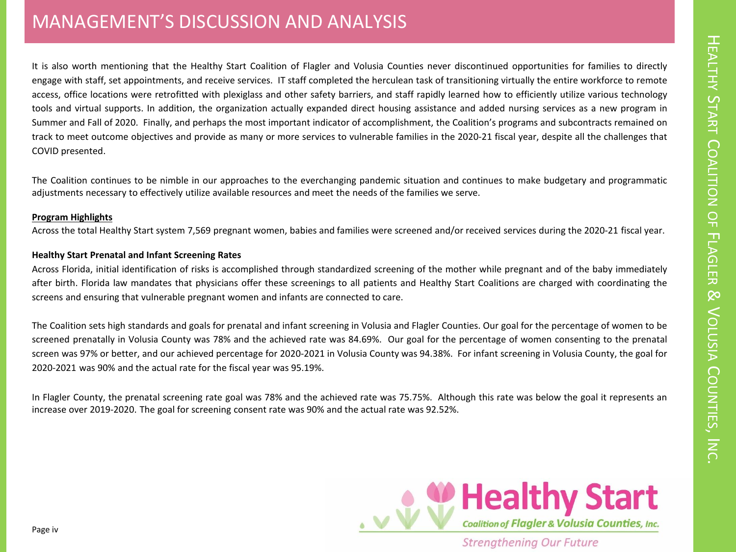It is also worth mentioning that the Healthy Start Coalition of Flagler and Volusia Counties never discontinued opportunities for families to directly engage with staff, set appointments, and receive services. IT staff completed the herculean task of transitioning virtually the entire workforce to remote access, office locations were retrofitted with plexiglass and other safety barriers, and staff rapidly learned how to efficiently utilize various technology tools and virtual supports. In addition, the organization actually expanded direct housing assistance and added nursing services as a new program in Summer and Fall of 2020. Finally, and perhaps the most important indicator of accomplishment, the Coalition's programs and subcontracts remained on track to meet outcome objectives and provide as many or more services to vulnerable families in the 2020-21 fiscal year, despite all the challenges that COVID presented.

The Coalition continues to be nimble in our approaches to the everchanging pandemic situation and continues to make budgetary and programmatic adjustments necessary to effectively utilize available resources and meet the needs of the families we serve.

#### **Program Highlights**

Across the total Healthy Start system 7,569 pregnant women, babies and families were screened and/or received services during the 2020-21 fiscal year.

# **Healthy Start Prenatal and Infant Screening Rates**

Across Florida, initial identification of risks is accomplished through standardized screening of the mother while pregnant and of the baby immediately after birth. Florida law mandates that physicians offer these screenings to all patients and Healthy Start Coalitions are charged with coordinating the screens and ensuring that vulnerable pregnant women and infants are connected to care.

The Coalition sets high standards and goals for prenatal and infant screening in Volusia and Flagler Counties. Our goal for the percentage of women to be screened prenatally in Volusia County was 78% and the achieved rate was 84.69%. Our goal for the percentage of women consenting to the prenatal screen was 97% or better, and our achieved percentage for 2020-2021 in Volusia County was 94.38%. For infant screening in Volusia County, the goal for 2020-2021 was 90% and the actual rate for the fiscal year was 95.19%.

In Flagler County, the prenatal screening rate goal was 78% and the achieved rate was 75.75%. Although this rate was below the goal it represents an increase over 2019-2020. The goal for screening consent rate was 90% and the actual rate was 92.52%.

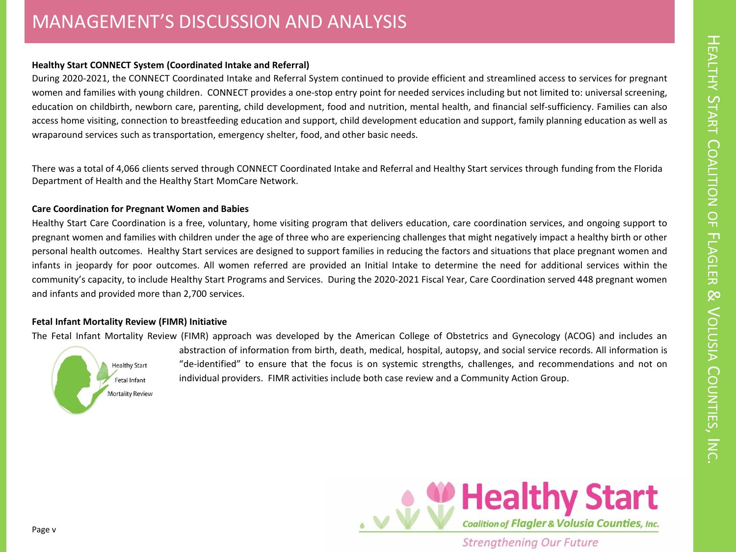# **Healthy Start CONNECT System (Coordinated Intake and Referral)**

During 2020-2021, the CONNECT Coordinated Intake and Referral System continued to provide efficient and streamlined access to services for pregnant women and families with young children. CONNECT provides a one-stop entry point for needed services including but not limited to: universal screening, education on childbirth, newborn care, parenting, child development, food and nutrition, mental health, and financial self-sufficiency. Families can also access home visiting, connection to breastfeeding education and support, child development education and support, family planning education as well as wraparound services such as transportation, emergency shelter, food, and other basic needs.

There was a total of 4,066 clients served through CONNECT Coordinated Intake and Referral and Healthy Start services through funding from the Florida Department of Health and the Healthy Start MomCare Network.

# **Care Coordination for Pregnant Women and Babies**

Healthy Start Care Coordination is a free, voluntary, home visiting program that delivers education, care coordination services, and ongoing support to pregnant women and families with children under the age of three who are experiencing challenges that might negatively impact a healthy birth or other personal health outcomes. Healthy Start services are designed to support families in reducing the factors and situations that place pregnant women and infants in jeopardy for poor outcomes. All women referred are provided an Initial Intake to determine the need for additional services within the community's capacity, to include Healthy Start Programs and Services. During the 2020-2021 Fiscal Year, Care Coordination served 448 pregnant women and infants and provided more than 2,700 services.

# **Fetal Infant Mortality Review (FIMR) Initiative**

The Fetal Infant Mortality Review (FIMR) approach was developed by the American College of Obstetrics and Gynecology (ACOG) and includes an



abstraction of information from birth, death, medical, hospital, autopsy, and social service records. All information is "de-identified" to ensure that the focus is on systemic strengths, challenges, and recommendations and not on individual providers. FIMR activities include both case review and a Community Action Group.

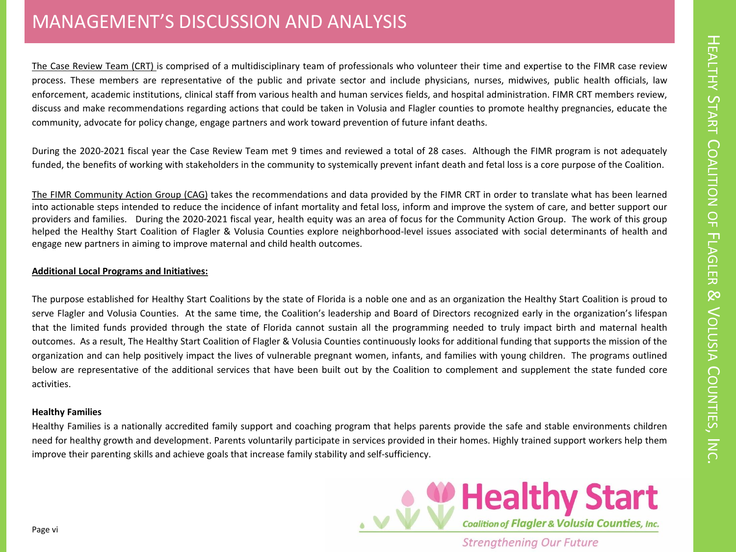The Case Review Team (CRT) is comprised of a multidisciplinary team of professionals who volunteer their time and expertise to the FIMR case review process. These members are representative of the public and private sector and include physicians, nurses, midwives, public health officials, law enforcement, academic institutions, clinical staff from various health and human services fields, and hospital administration. FIMR CRT members review, discuss and make recommendations regarding actions that could be taken in Volusia and Flagler counties to promote healthy pregnancies, educate the community, advocate for policy change, engage partners and work toward prevention of future infant deaths.

During the 2020-2021 fiscal year the Case Review Team met 9 times and reviewed a total of 28 cases. Although the FIMR program is not adequately funded, the benefits of working with stakeholders in the community to systemically prevent infant death and fetal loss is a core purpose of the Coalition.

The FIMR Community Action Group (CAG) takes the recommendations and data provided by the FIMR CRT in order to translate what has been learned into actionable steps intended to reduce the incidence of infant mortality and fetal loss, inform and improve the system of care, and better support our providers and families. During the 2020-2021 fiscal year, health equity was an area of focus for the Community Action Group. The work of this group helped the Healthy Start Coalition of Flagler & Volusia Counties explore neighborhood-level issues associated with social determinants of health and engage new partners in aiming to improve maternal and child health outcomes.

### **Additional Local Programs and Initiatives:**

The purpose established for Healthy Start Coalitions by the state of Florida is a noble one and as an organization the Healthy Start Coalition is proud to serve Flagler and Volusia Counties. At the same time, the Coalition's leadership and Board of Directors recognized early in the organization's lifespan that the limited funds provided through the state of Florida cannot sustain all the programming needed to truly impact birth and maternal health outcomes. As a result, The Healthy Start Coalition of Flagler & Volusia Counties continuously looks for additional funding that supports the mission of the organization and can help positively impact the lives of vulnerable pregnant women, infants, and families with young children. The programs outlined below are representative of the additional services that have been built out by the Coalition to complement and supplement the state funded core activities.

#### **Healthy Families**

Healthy Families is a nationally accredited family support and coaching program that helps parents provide the safe and stable environments children need for healthy growth and development. Parents voluntarily participate in services provided in their homes. Highly trained support workers help them improve their parenting skills and achieve goals that increase family stability and self-sufficiency.

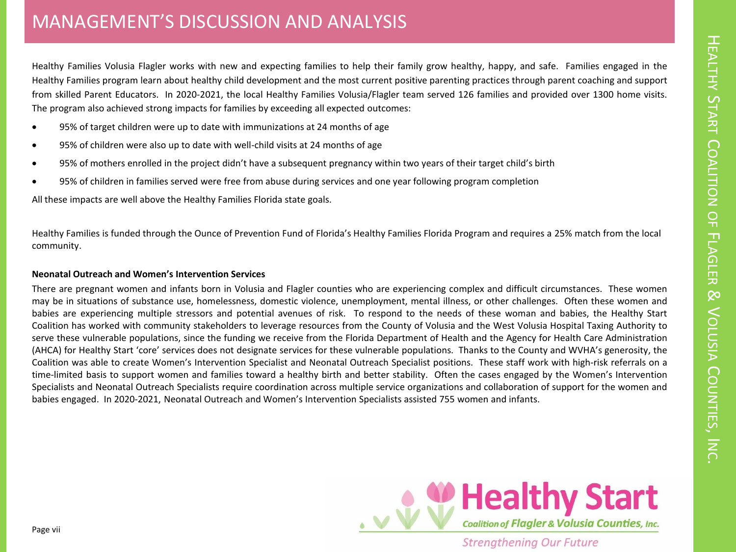Healthy Families Volusia Flagler works with new and expecting families to help their family grow healthy, happy, and safe. Families engaged in the Healthy Families program learn about healthy child development and the most current positive parenting practices through parent coaching and support from skilled Parent Educators. In 2020-2021, the local Healthy Families Volusia/Flagler team served 126 families and provided over 1300 home visits. The program also achieved strong impacts for families by exceeding all expected outcomes:

- 95% of target children were up to date with immunizations at 24 months of age
- 95% of children were also up to date with well-child visits at 24 months of age
- 95% of mothers enrolled in the project didn't have a subsequent pregnancy within two years of their target child's birth
- 95% of children in families served were free from abuse during services and one year following program completion

All these impacts are well above the Healthy Families Florida state goals.

Healthy Families is funded through the Ounce of Prevention Fund of Florida's Healthy Families Florida Program and requires a 25% match from the local community.

## **Neonatal Outreach and Women's Intervention Services**

There are pregnant women and infants born in Volusia and Flagler counties who are experiencing complex and difficult circumstances. These women may be in situations of substance use, homelessness, domestic violence, unemployment, mental illness, or other challenges. Often these women and babies are experiencing multiple stressors and potential avenues of risk. To respond to the needs of these woman and babies, the Healthy Start Coalition has worked with community stakeholders to leverage resources from the County of Volusia and the West Volusia Hospital Taxing Authority to serve these vulnerable populations, since the funding we receive from the Florida Department of Health and the Agency for Health Care Administration (AHCA) for Healthy Start 'core' services does not designate services for these vulnerable populations. Thanks to the County and WVHA's generosity, the Coalition was able to create Women's Intervention Specialist and Neonatal Outreach Specialist positions. These staff work with high-risk referrals on a time-limited basis to support women and families toward a healthy birth and better stability. Often the cases engaged by the Women's Intervention Specialists and Neonatal Outreach Specialists require coordination across multiple service organizations and collaboration of support for the women and babies engaged. In 2020-2021, Neonatal Outreach and Women's Intervention Specialists assisted 755 women and infants.

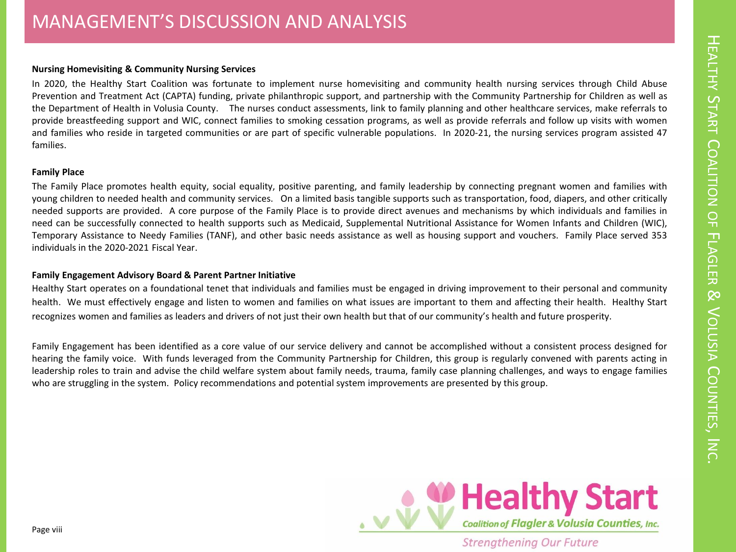#### **Nursing Homevisiting & Community Nursing Services**

In 2020, the Healthy Start Coalition was fortunate to implement nurse homevisiting and community health nursing services through Child Abuse Prevention and Treatment Act (CAPTA) funding, private philanthropic support, and partnership with the Community Partnership for Children as well as the Department of Health in Volusia County. The nurses conduct assessments, link to family planning and other healthcare services, make referrals to provide breastfeeding support and WIC, connect families to smoking cessation programs, as well as provide referrals and follow up visits with women and families who reside in targeted communities or are part of specific vulnerable populations. In 2020-21, the nursing services program assisted 47 families.

### **Family Place**

The Family Place promotes health equity, social equality, positive parenting, and family leadership by connecting pregnant women and families with young children to needed health and community services. On a limited basis tangible supports such as transportation, food, diapers, and other critically needed supports are provided. A core purpose of the Family Place is to provide direct avenues and mechanisms by which individuals and families in need can be successfully connected to health supports such as Medicaid, Supplemental Nutritional Assistance for Women Infants and Children (WIC), Temporary Assistance to Needy Families (TANF), and other basic needs assistance as well as housing support and vouchers. Family Place served 353 individuals in the 2020-2021 Fiscal Year.

## **Family Engagement Advisory Board & Parent Partner Initiative**

Healthy Start operates on a foundational tenet that individuals and families must be engaged in driving improvement to their personal and community health. We must effectively engage and listen to women and families on what issues are important to them and affecting their health. Healthy Start recognizes women and families as leaders and drivers of not just their own health but that of our community's health and future prosperity.

Family Engagement has been identified as a core value of our service delivery and cannot be accomplished without a consistent process designed for hearing the family voice. With funds leveraged from the Community Partnership for Children, this group is regularly convened with parents acting in leadership roles to train and advise the child welfare system about family needs, trauma, family case planning challenges, and ways to engage families who are struggling in the system. Policy recommendations and potential system improvements are presented by this group.

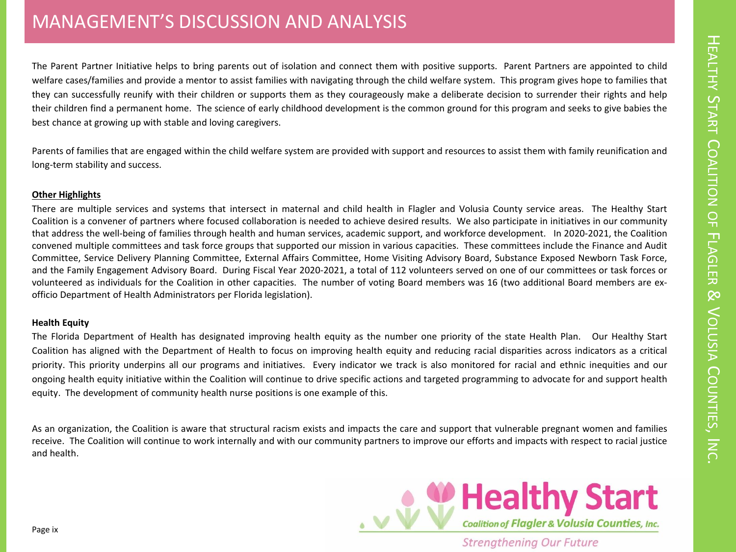The Parent Partner Initiative helps to bring parents out of isolation and connect them with positive supports. Parent Partners are appointed to child welfare cases/families and provide a mentor to assist families with navigating through the child welfare system. This program gives hope to families that they can successfully reunify with their children or supports them as they courageously make a deliberate decision to surrender their rights and help their children find a permanent home. The science of early childhood development is the common ground for this program and seeks to give babies the best chance at growing up with stable and loving caregivers.

Parents of families that are engaged within the child welfare system are provided with support and resources to assist them with family reunification and long-term stability and success.

## **Other Highlights**

There are multiple services and systems that intersect in maternal and child health in Flagler and Volusia County service areas. The Healthy Start Coalition is a convener of partners where focused collaboration is needed to achieve desired results. We also participate in initiatives in our community that address the well-being of families through health and human services, academic support, and workforce development. In 2020-2021, the Coalition convened multiple committees and task force groups that supported our mission in various capacities. These committees include the Finance and Audit Committee, Service Delivery Planning Committee, External Affairs Committee, Home Visiting Advisory Board, Substance Exposed Newborn Task Force, and the Family Engagement Advisory Board. During Fiscal Year 2020-2021, a total of 112 volunteers served on one of our committees or task forces or volunteered as individuals for the Coalition in other capacities. The number of voting Board members was 16 (two additional Board members are exofficio Department of Health Administrators per Florida legislation).

# **Health Equity**

The Florida Department of Health has designated improving health equity as the number one priority of the state Health Plan. Our Healthy Start Coalition has aligned with the Department of Health to focus on improving health equity and reducing racial disparities across indicators as a critical priority. This priority underpins all our programs and initiatives. Every indicator we track is also monitored for racial and ethnic inequities and our ongoing health equity initiative within the Coalition will continue to drive specific actions and targeted programming to advocate for and support health equity. The development of community health nurse positions is one example of this.

As an organization, the Coalition is aware that structural racism exists and impacts the care and support that vulnerable pregnant women and families receive. The Coalition will continue to work internally and with our community partners to improve our efforts and impacts with respect to racial justice and health.

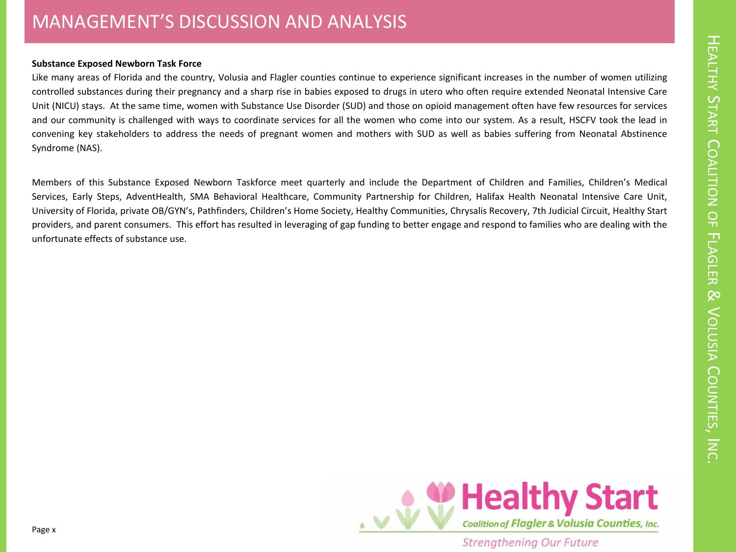## **Substance Exposed Newborn Task Force**

Like many areas of Florida and the country, Volusia and Flagler counties continue to experience significant increases in the number of women utilizing controlled substances during their pregnancy and a sharp rise in babies exposed to drugs in utero who often require extended Neonatal Intensive Care Unit (NICU) stays. At the same time, women with Substance Use Disorder (SUD) and those on opioid management often have few resources for services and our community is challenged with ways to coordinate services for all the women who come into our system. As a result, HSCFV took the lead in convening key stakeholders to address the needs of pregnant women and mothers with SUD as well as babies suffering from Neonatal Abstinence Syndrome (NAS).

Members of this Substance Exposed Newborn Taskforce meet quarterly and include the Department of Children and Families, Children's Medical Services, Early Steps, AdventHealth, SMA Behavioral Healthcare, Community Partnership for Children, Halifax Health Neonatal Intensive Care Unit, University of Florida, private OB/GYN's, Pathfinders, Children's Home Society, Healthy Communities, Chrysalis Recovery, 7th Judicial Circuit, Healthy Start providers, and parent consumers. This effort has resulted in leveraging of gap funding to better engage and respond to families who are dealing with the unfortunate effects of substance use.

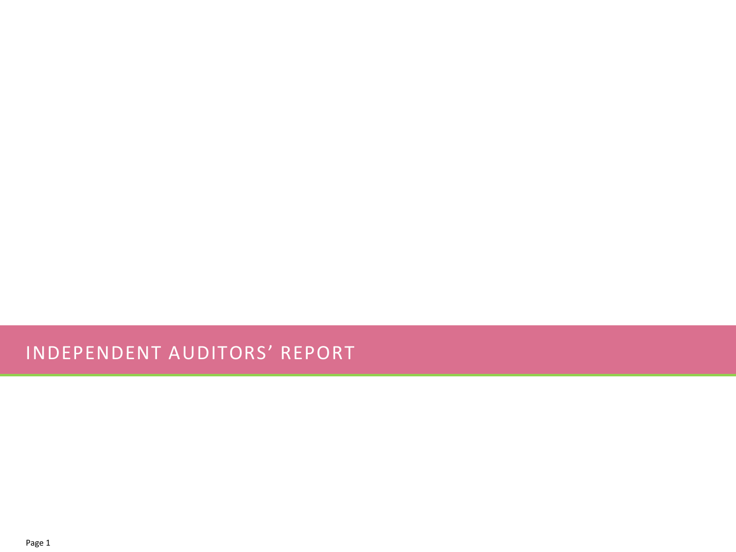INDEPENDENT AUDITORS' REPORT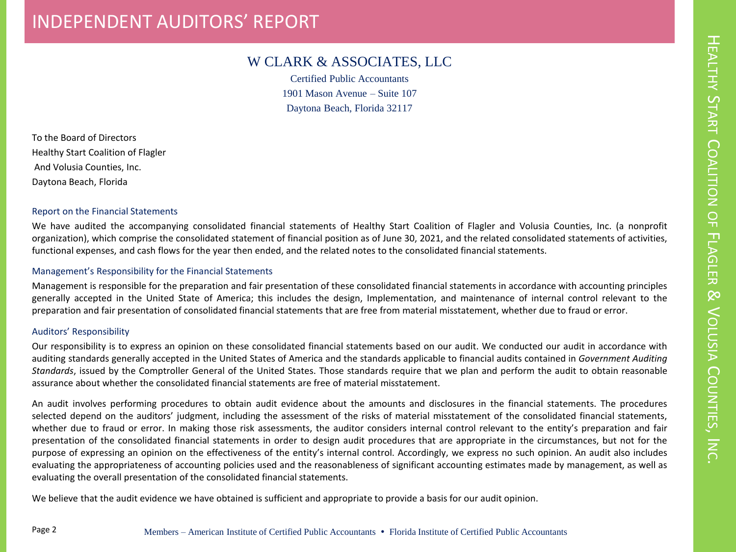# W CLARK & ASSOCIATES, LLC

Certified Public Accountants 1901 Mason Avenue – Suite 107 Daytona Beach, Florida 32117

To the Board of Directors Healthy Start Coalition of Flagler And Volusia Counties, Inc. Daytona Beach, Florida

#### Report on the Financial Statements

We have audited the accompanying consolidated financial statements of Healthy Start Coalition of Flagler and Volusia Counties, Inc. (a nonprofit organization), which comprise the consolidated statement of financial position as of June 30, 2021, and the related consolidated statements of activities, functional expenses, and cash flows for the year then ended, and the related notes to the consolidated financial statements.

### Management's Responsibility for the Financial Statements

Management is responsible for the preparation and fair presentation of these consolidated financial statements in accordance with accounting principles generally accepted in the United State of America; this includes the design, Implementation, and maintenance of internal control relevant to the preparation and fair presentation of consolidated financial statements that are free from material misstatement, whether due to fraud or error.

#### Auditors' Responsibility

Our responsibility is to express an opinion on these consolidated financial statements based on our audit. We conducted our audit in accordance with auditing standards generally accepted in the United States of America and the standards applicable to financial audits contained in *Government Auditing Standards*, issued by the Comptroller General of the United States. Those standards require that we plan and perform the audit to obtain reasonable assurance about whether the consolidated financial statements are free of material misstatement.

An audit involves performing procedures to obtain audit evidence about the amounts and disclosures in the financial statements. The procedures selected depend on the auditors' judgment, including the assessment of the risks of material misstatement of the consolidated financial statements, whether due to fraud or error. In making those risk assessments, the auditor considers internal control relevant to the entity's preparation and fair presentation of the consolidated financial statements in order to design audit procedures that are appropriate in the circumstances, but not for the purpose of expressing an opinion on the effectiveness of the entity's internal control. Accordingly, we express no such opinion. An audit also includes evaluating the appropriateness of accounting policies used and the reasonableness of significant accounting estimates made by management, as well as evaluating the overall presentation of the consolidated financial statements.

We believe that the audit evidence we have obtained is sufficient and appropriate to provide a basis for our audit opinion.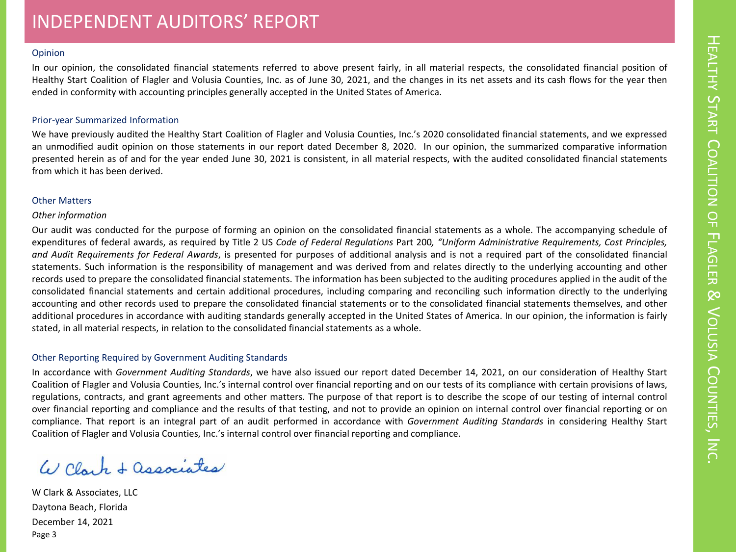# INDEPENDENT AUDITORS' REPORT

#### Opinion

In our opinion, the consolidated financial statements referred to above present fairly, in all material respects, the consolidated financial position of Healthy Start Coalition of Flagler and Volusia Counties, Inc. as of June 30, 2021, and the changes in its net assets and its cash flows for the year then ended in conformity with accounting principles generally accepted in the United States of America.

#### Prior-year Summarized Information

We have previously audited the Healthy Start Coalition of Flagler and Volusia Counties, Inc.'s 2020 consolidated financial statements, and we expressed an unmodified audit opinion on those statements in our report dated December 8, 2020. In our opinion, the summarized comparative information presented herein as of and for the year ended June 30, 2021 is consistent, in all material respects, with the audited consolidated financial statements from which it has been derived.

#### Other Matters

### *Other information*

Our audit was conducted for the purpose of forming an opinion on the consolidated financial statements as a whole. The accompanying schedule of expenditures of federal awards, as required by Title 2 US *Code of Federal Regulations* Part 200*, "Uniform Administrative Requirements, Cost Principles, and Audit Requirements for Federal Awards*, is presented for purposes of additional analysis and is not a required part of the consolidated financial statements. Such information is the responsibility of management and was derived from and relates directly to the underlying accounting and other records used to prepare the consolidated financial statements. The information has been subjected to the auditing procedures applied in the audit of the consolidated financial statements and certain additional procedures, including comparing and reconciling such information directly to the underlying accounting and other records used to prepare the consolidated financial statements or to the consolidated financial statements themselves, and other additional procedures in accordance with auditing standards generally accepted in the United States of America. In our opinion, the information is fairly stated, in all material respects, in relation to the consolidated financial statements as a whole.

## Other Reporting Required by Government Auditing Standards

In accordance with *Government Auditing Standards*, we have also issued our report dated December 14, 2021, on our consideration of Healthy Start Coalition of Flagler and Volusia Counties, Inc.'s internal control over financial reporting and on our tests of its compliance with certain provisions of laws, regulations, contracts, and grant agreements and other matters. The purpose of that report is to describe the scope of our testing of internal control over financial reporting and compliance and the results of that testing, and not to provide an opinion on internal control over financial reporting or on compliance. That report is an integral part of an audit performed in accordance with *Government Auditing Standards* in considering Healthy Start Coalition of Flagler and Volusia Counties, Inc.'s internal control over financial reporting and compliance.

W Clark & associates

W Clark & Associates, LLC Daytona Beach, Florida December 14, 2021 Page 3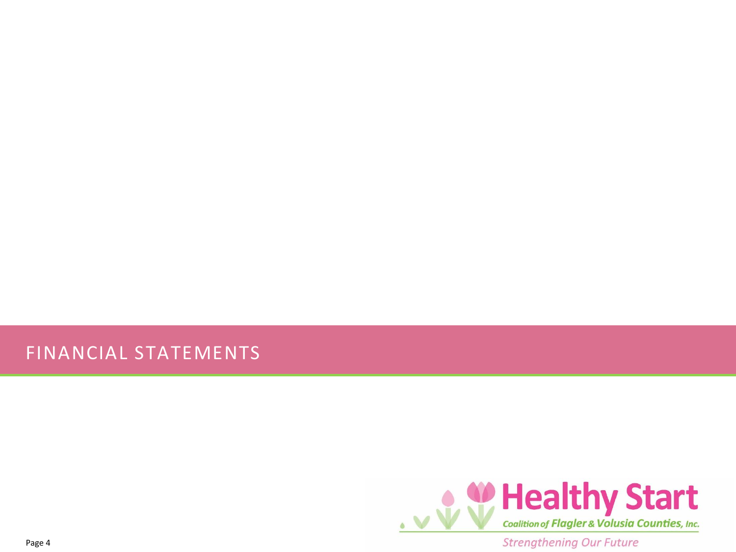FINANCIAL STATEMENTS

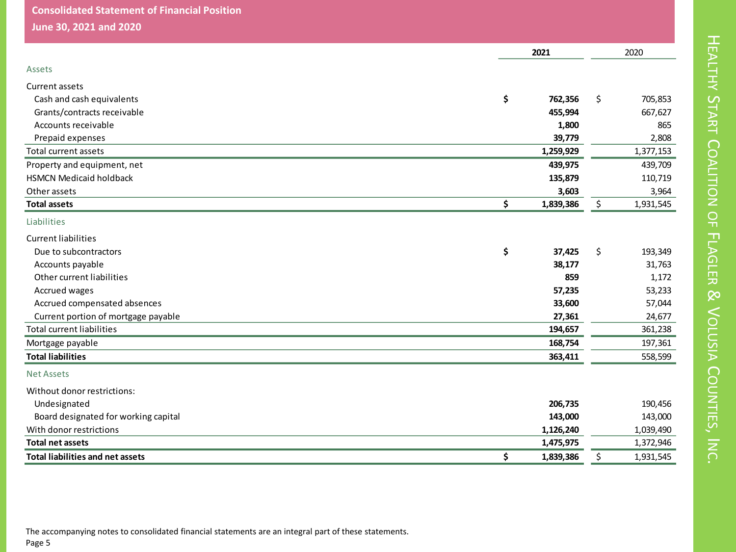**Consolidated Statement of Financial Position June 30, 2021 and 2020**

|                                         | 2021 |           | 2020 |           |  |
|-----------------------------------------|------|-----------|------|-----------|--|
| Assets                                  |      |           |      |           |  |
| Current assets                          |      |           |      |           |  |
| Cash and cash equivalents               | \$   | 762,356   | \$   | 705,853   |  |
| Grants/contracts receivable             |      | 455,994   |      | 667,627   |  |
| Accounts receivable                     |      | 1,800     |      | 865       |  |
| Prepaid expenses                        |      | 39,779    |      | 2,808     |  |
| Total current assets                    |      | 1,259,929 |      | 1,377,153 |  |
| Property and equipment, net             |      | 439,975   |      | 439,709   |  |
| <b>HSMCN Medicaid holdback</b>          |      | 135,879   |      | 110,719   |  |
| Other assets                            |      | 3,603     |      | 3,964     |  |
| <b>Total assets</b>                     | \$   | 1,839,386 | \$   | 1,931,545 |  |
| Liabilities                             |      |           |      |           |  |
| <b>Current liabilities</b>              |      |           |      |           |  |
| Due to subcontractors                   | \$   | 37,425    | \$   | 193,349   |  |
| Accounts payable                        |      | 38,177    |      | 31,763    |  |
| Other current liabilities               |      | 859       |      | 1,172     |  |
| Accrued wages                           |      | 57,235    |      | 53,233    |  |
| Accrued compensated absences            |      | 33,600    |      | 57,044    |  |
| Current portion of mortgage payable     |      | 27,361    |      | 24,677    |  |
| <b>Total current liabilities</b>        |      | 194,657   |      | 361,238   |  |
| Mortgage payable                        |      | 168,754   |      | 197,361   |  |
| <b>Total liabilities</b>                |      | 363,411   |      | 558,599   |  |
| <b>Net Assets</b>                       |      |           |      |           |  |
| Without donor restrictions:             |      |           |      |           |  |
| Undesignated                            |      | 206,735   |      | 190,456   |  |
| Board designated for working capital    |      | 143,000   |      | 143,000   |  |
| With donor restrictions                 |      | 1,126,240 |      | 1,039,490 |  |
| <b>Total net assets</b>                 |      | 1,475,975 |      | 1,372,946 |  |
| <b>Total liabilities and net assets</b> | \$   | 1,839,386 | \$   | 1,931,545 |  |

OALITION 으<br>ㅠ FLAGLER  $\approx$ OLUSIA  $\bigcap$ OUNTIES $\overline{\phantom{a}}$ NC.

H

EALTHY

START

 $\bigcap$ 

The accompanying notes to consolidated financial statements are an integral part of these statements.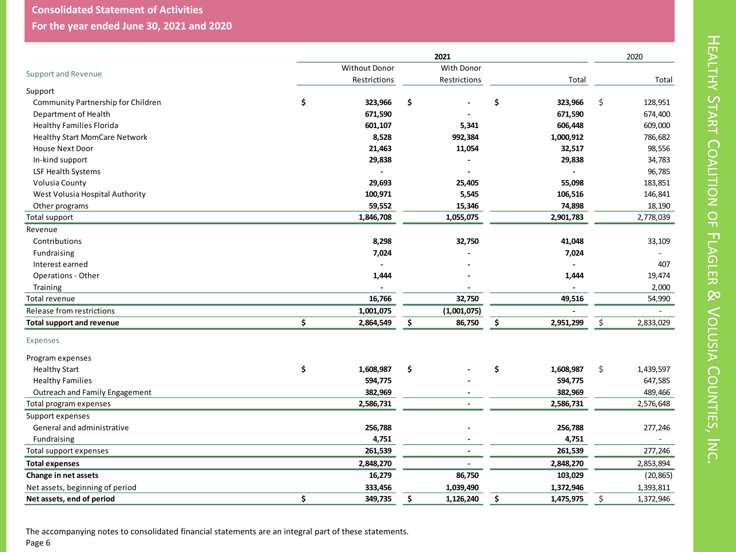# **Consolidated Statement of Activities**

# **For the year ended June 30, 2021 and 2020**

|                                    |                      | 2021            |                 | 2020            |
|------------------------------------|----------------------|-----------------|-----------------|-----------------|
|                                    | <b>Without Donor</b> | With Donor      |                 |                 |
| Support and Revenue                | Restrictions         | Restrictions    | Total           | Total           |
| Support                            |                      |                 |                 |                 |
| Community Partnership for Children | \$<br>323,966        | \$              | \$<br>323,966   | \$<br>128,951   |
| Department of Health               | 671,590              |                 | 671,590         | 674,400         |
| <b>Healthy Families Florida</b>    | 601,107              | 5,341           | 606,448         | 609,000         |
| Healthy Start MomCare Network      | 8,528                | 992,384         | 1,000,912       | 786,682         |
| <b>House Next Door</b>             | 21,463               | 11,054          | 32,517          | 98,556          |
| In-kind support                    | 29,838               |                 | 29,838          | 34,783          |
| LSF Health Systems                 |                      |                 |                 | 96,785          |
| Volusia County                     | 29,693               | 25,405          | 55,098          | 183,851         |
| West Volusia Hospital Authority    | 100,971              | 5,545           | 106,516         | 146,841         |
| Other programs                     | 59,552               | 15,346          | 74,898          | 18,190          |
| Total support                      | 1,846,708            | 1,055,075       | 2,901,783       | 2,778,039       |
| Revenue                            |                      |                 |                 |                 |
| Contributions                      | 8,298                | 32,750          | 41,048          | 33,109          |
| Fundraising                        | 7,024                |                 | 7,024           |                 |
| Interest earned                    |                      |                 |                 | 407             |
| Operations - Other                 | 1,444                |                 | 1,444           | 19,474          |
| Training                           |                      |                 |                 | 2,000           |
| Total revenue                      | 16,766               | 32,750          | 49,516          | 54,990          |
| Release from restrictions          | 1,001,075            | (1,001,075)     |                 |                 |
| <b>Total support and revenue</b>   | \$<br>2,864,549      | \$<br>86,750    | \$<br>2,951,299 | \$<br>2,833,029 |
| Expenses                           |                      |                 |                 |                 |
| Program expenses                   |                      |                 |                 |                 |
| <b>Healthy Start</b>               | \$<br>1,608,987      | \$              | \$<br>1,608,987 | \$<br>1,439,597 |
| <b>Healthy Families</b>            | 594,775              |                 | 594,775         | 647,585         |
| Outreach and Family Engagement     | 382,969              |                 | 382,969         | 489,466         |
| Total program expenses             | 2,586,731            | $\overline{a}$  | 2,586,731       | 2,576,648       |
| Support expenses                   |                      |                 |                 |                 |
| General and administrative         | 256,788              |                 | 256,788         | 277,246         |
| Fundraising                        | 4,751                |                 | 4,751           |                 |
| Total support expenses             | 261,539              |                 | 261,539         | 277,246         |
| <b>Total expenses</b>              | 2,848,270            |                 | 2,848,270       | 2,853,894       |
| Change in net assets               | 16,279               | 86,750          | 103,029         | (20, 865)       |
| Net assets, beginning of period    | 333,456              | 1,039,490       | 1,372,946       | 1,393,811       |
| Net assets, end of period          | \$<br>349,735        | \$<br>1,126,240 | \$<br>1,475,975 | \$<br>1,372,946 |

The accompanying notes to consolidated financial statements are an integral part of these statements.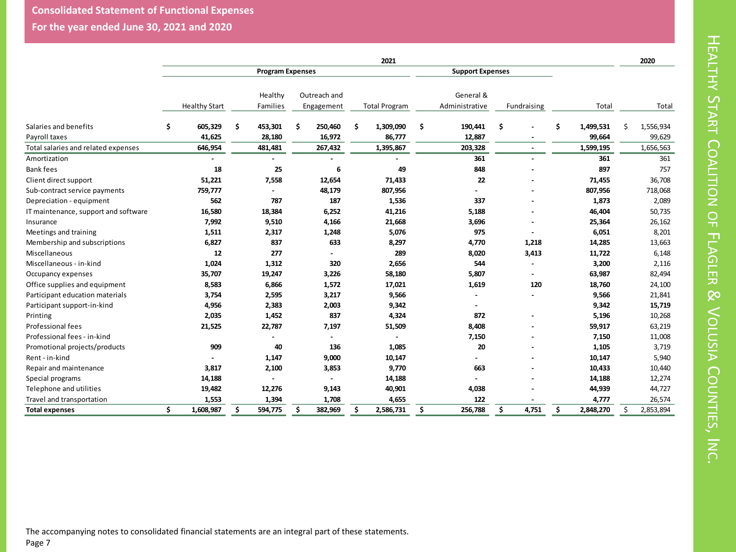# **Consolidated Statement of Functional Expenses**

# **For the year ended June 30, 2021 and 2020**

|                                      |                      |    |                         |    |                            |     | 2021                 |    |                             |             |                 |    | 2020      |
|--------------------------------------|----------------------|----|-------------------------|----|----------------------------|-----|----------------------|----|-----------------------------|-------------|-----------------|----|-----------|
|                                      |                      |    | <b>Program Expenses</b> |    |                            |     |                      |    | <b>Support Expenses</b>     |             |                 |    |           |
|                                      | <b>Healthy Start</b> |    | Healthy<br>Families     |    | Outreach and<br>Engagement |     | <b>Total Program</b> |    | General &<br>Administrative | Fundraising | Total           |    | Total     |
| Salaries and benefits                | \$<br>605,329        | s  | 453,301                 | \$ | 250,460                    | \$. | 1,309,090            | \$ | 190,441                     | \$          | \$<br>1,499,531 |    | 1,556,934 |
| Payroll taxes                        | 41,625               |    | 28,180                  |    | 16,972                     |     | 86,777               |    | 12,887                      |             | 99,664          |    | 99,629    |
| Total salaries and related expenses  | 646,954              |    | 481,481                 |    | 267,432                    |     | 1,395,867            |    | 203,328                     |             | 1,599,195       |    | 1,656,563 |
| Amortization                         |                      |    |                         |    |                            |     |                      |    | 361                         |             | 361             |    | 361       |
| <b>Bank fees</b>                     | 18                   |    | 25                      |    | 6                          |     | 49                   |    | 848                         |             | 897             |    | 757       |
| Client direct support                | 51,221               |    | 7,558                   |    | 12,654                     |     | 71,433               |    | 22                          |             | 71,455          |    | 36,708    |
| Sub-contract service payments        | 759,777              |    |                         |    | 48,179                     |     | 807,956              |    |                             |             | 807,956         |    | 718,068   |
| Depreciation - equipment             | 562                  |    | 787                     |    | 187                        |     | 1,536                |    | 337                         |             | 1,873           |    | 2,089     |
| IT maintenance, support and software | 16,580               |    | 18,384                  |    | 6,252                      |     | 41,216               |    | 5,188                       |             | 46,404          |    | 50,735    |
| Insurance                            | 7,992                |    | 9,510                   |    | 4,166                      |     | 21,668               |    | 3,696                       |             | 25,364          |    | 26,162    |
| Meetings and training                | 1,511                |    | 2,317                   |    | 1,248                      |     | 5,076                |    | 975                         |             | 6,051           |    | 8,201     |
| Membership and subscriptions         | 6,827                |    | 837                     |    | 633                        |     | 8,297                |    | 4,770                       | 1,218       | 14,285          |    | 13,663    |
| Miscellaneous                        | 12                   |    | 277                     |    |                            |     | 289                  |    | 8,020                       | 3,413       | 11,722          |    | 6,148     |
| Miscellaneous - in-kind              | 1,024                |    | 1,312                   |    | 320                        |     | 2,656                |    | 544                         |             | 3,200           |    | 2,116     |
| Occupancy expenses                   | 35,707               |    | 19,247                  |    | 3,226                      |     | 58,180               |    | 5,807                       |             | 63,987          |    | 82,494    |
| Office supplies and equipment        | 8,583                |    | 6,866                   |    | 1,572                      |     | 17,021               |    | 1,619                       | 120         | 18,760          |    | 24,100    |
| Participant education materials      | 3,754                |    | 2,595                   |    | 3,217                      |     | 9,566                |    | $\blacksquare$              |             | 9,566           |    | 21,841    |
| Participant support-in-kind          | 4,956                |    | 2,383                   |    | 2,003                      |     | 9,342                |    |                             |             | 9,342           |    | 15,719    |
| Printing                             | 2,035                |    | 1,452                   |    | 837                        |     | 4,324                |    | 872                         |             | 5,196           |    | 10,268    |
| Professional fees                    | 21,525               |    | 22,787                  |    | 7,197                      |     | 51,509               |    | 8,408                       |             | 59,917          |    | 63,219    |
| Professional fees - in-kind          |                      |    |                         |    |                            |     |                      |    | 7,150                       |             | 7,150           |    | 11,008    |
| Promotional projects/products        | 909                  |    | 40                      |    | 136                        |     | 1,085                |    | 20                          |             | 1,105           |    | 3,719     |
| Rent - in-kind                       |                      |    | 1,147                   |    | 9,000                      |     | 10,147               |    |                             |             | 10,147          |    | 5,940     |
| Repair and maintenance               | 3,817                |    | 2,100                   |    | 3,853                      |     | 9,770                |    | 663                         |             | 10,433          |    | 10,440    |
| Special programs                     | 14,188               |    |                         |    |                            |     | 14,188               |    |                             |             | 14,188          |    | 12,274    |
| Telephone and utilities              | 19,482               |    | 12,276                  |    | 9,143                      |     | 40,901               |    | 4,038                       |             | 44,939          |    | 44,727    |
| Travel and transportation            | 1,553                |    | 1,394                   |    | 1,708                      |     | 4,655                |    | 122                         |             | 4,777           |    | 26,574    |
| <b>Total expenses</b>                | \$<br>1,608,987      | Ś. | 594,775                 | Ś. | 382,969                    | Ś.  | 2,586,731            | Ŝ. | 256,788                     | \$<br>4,751 | \$<br>2,848,270 | Ś. | 2,853,894 |

HEALTHY START  $\bigcap$ OALITION 으<br>ㅠ FLAGLER  $\approx$ OLUSIA  $\bigcap$ OUNTIES $\overline{\phantom{a}}$ NC.

The accompanying notes to consolidated financial statements are an integral part of these statements.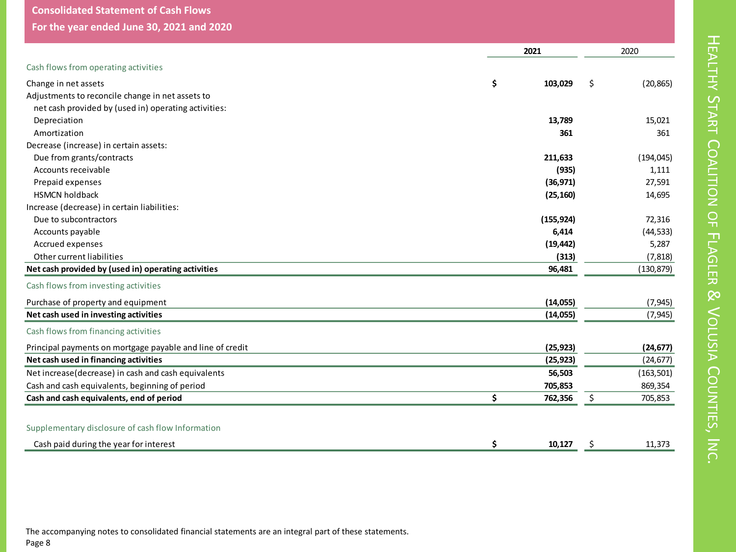**Consolidated Statement of Cash Flows**

# **For the year ended June 30, 2021 and 2020**

|                                                           | 2021          | 2020            |
|-----------------------------------------------------------|---------------|-----------------|
| Cash flows from operating activities                      |               |                 |
| Change in net assets                                      | \$<br>103,029 | \$<br>(20, 865) |
| Adjustments to reconcile change in net assets to          |               |                 |
| net cash provided by (used in) operating activities:      |               |                 |
| Depreciation                                              | 13,789        | 15,021          |
| Amortization                                              | 361           | 361             |
| Decrease (increase) in certain assets:                    |               |                 |
| Due from grants/contracts                                 | 211,633       | (194, 045)      |
| Accounts receivable                                       | (935)         | 1,111           |
| Prepaid expenses                                          | (36, 971)     | 27,591          |
| <b>HSMCN holdback</b>                                     | (25, 160)     | 14,695          |
| Increase (decrease) in certain liabilities:               |               |                 |
| Due to subcontractors                                     | (155, 924)    | 72,316          |
| Accounts payable                                          | 6,414         | (44, 533)       |
| Accrued expenses                                          | (19, 442)     | 5,287           |
| Other current liabilities                                 | (313)         | (7, 818)        |
| Net cash provided by (used in) operating activities       | 96,481        | (130, 879)      |
| Cash flows from investing activities                      |               |                 |
| Purchase of property and equipment                        | (14, 055)     | (7, 945)        |
| Net cash used in investing activities                     | (14, 055)     | (7, 945)        |
| Cash flows from financing activities                      |               |                 |
| Principal payments on mortgage payable and line of credit | (25, 923)     | (24, 677)       |
| Net cash used in financing activities                     | (25, 923)     | (24, 677)       |
| Net increase (decrease) in cash and cash equivalents      | 56,503        | (163, 501)      |
| Cash and cash equivalents, beginning of period            | 705,853       | 869,354         |
| Cash and cash equivalents, end of period                  | \$<br>762,356 | \$<br>705,853   |
|                                                           |               |                 |
| Supplementary disclosure of cash flow Information         |               |                 |
| Cash paid during the year for interest                    | \$<br>10,127  | \$<br>11,373    |

HEALTHY START  $\bigcap$ OALITION 으<br>ㅠ FLAGLER  $\approx$ OLUSIA  $\bigcap$ OUNTIES $\overline{\phantom{a}}$ NC.

The accompanying notes to consolidated financial statements are an integral part of these statements. Page 8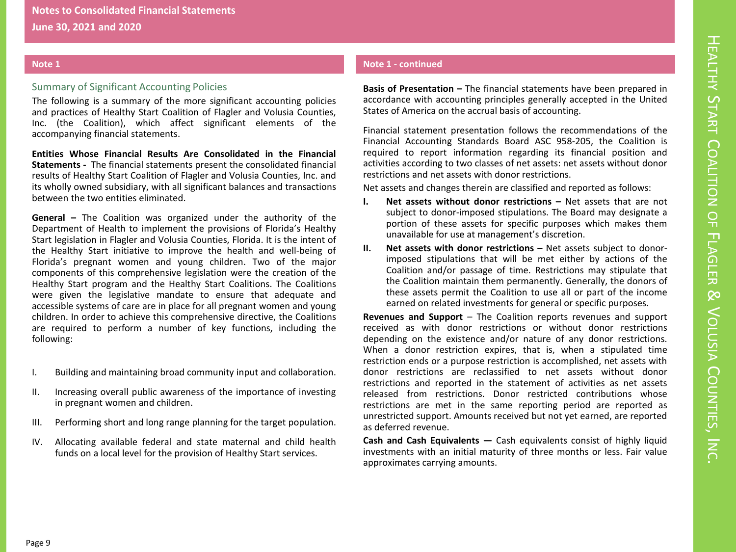# Summary of Significant Accounting Policies

The following is a summary of the more significant accounting policies and practices of Healthy Start Coalition of Flagler and Volusia Counties, Inc. (the Coalition), which affect significant elements of the accompanying financial statements.

**Entities Whose Financial Results Are Consolidated in the Financial Statements -** The financial statements present the consolidated financial results of Healthy Start Coalition of Flagler and Volusia Counties, Inc. and its wholly owned subsidiary, with all significant balances and transactions between the two entities eliminated.

**General –** The Coalition was organized under the authority of the Department of Health to implement the provisions of Florida's Healthy Start legislation in Flagler and Volusia Counties, Florida. It is the intent of the Healthy Start initiative to improve the health and well-being of Florida's pregnant women and young children. Two of the major components of this comprehensive legislation were the creation of the Healthy Start program and the Healthy Start Coalitions. The Coalitions were given the legislative mandate to ensure that adequate and accessible systems of care are in place for all pregnant women and young children. In order to achieve this comprehensive directive, the Coalitions are required to perform a number of key functions, including the following:

- I. Building and maintaining broad community input and collaboration.
- II. Increasing overall public awareness of the importance of investing in pregnant women and children.
- III. Performing short and long range planning for the target population.
- IV. Allocating available federal and state maternal and child health funds on a local level for the provision of Healthy Start services.

# **Note 1 - continued**

**Basis of Presentation –** The financial statements have been prepared in accordance with accounting principles generally accepted in the United States of America on the accrual basis of accounting.

Financial statement presentation follows the recommendations of the Financial Accounting Standards Board ASC 958-205, the Coalition is required to report information regarding its financial position and activities according to two classes of net assets: net assets without donor restrictions and net assets with donor restrictions.

Net assets and changes therein are classified and reported as follows:

- **I. Net assets without donor restrictions –** Net assets that are not subject to donor-imposed stipulations. The Board may designate a portion of these assets for specific purposes which makes them unavailable for use at management's discretion.
- **II. Net assets with donor restrictions** Net assets subject to donorimposed stipulations that will be met either by actions of the Coalition and/or passage of time. Restrictions may stipulate that the Coalition maintain them permanently. Generally, the donors of these assets permit the Coalition to use all or part of the income earned on related investments for general or specific purposes.

**Revenues and Support** – The Coalition reports revenues and support received as with donor restrictions or without donor restrictions depending on the existence and/or nature of any donor restrictions. When a donor restriction expires, that is, when a stipulated time restriction ends or a purpose restriction is accomplished, net assets with donor restrictions are reclassified to net assets without donor restrictions and reported in the statement of activities as net assets released from restrictions. Donor restricted contributions whose restrictions are met in the same reporting period are reported as unrestricted support. Amounts received but not yet earned, are reported as deferred revenue.

**Cash and Cash Equivalents —** Cash equivalents consist of highly liquid investments with an initial maturity of three months or less. Fair value approximates carrying amounts.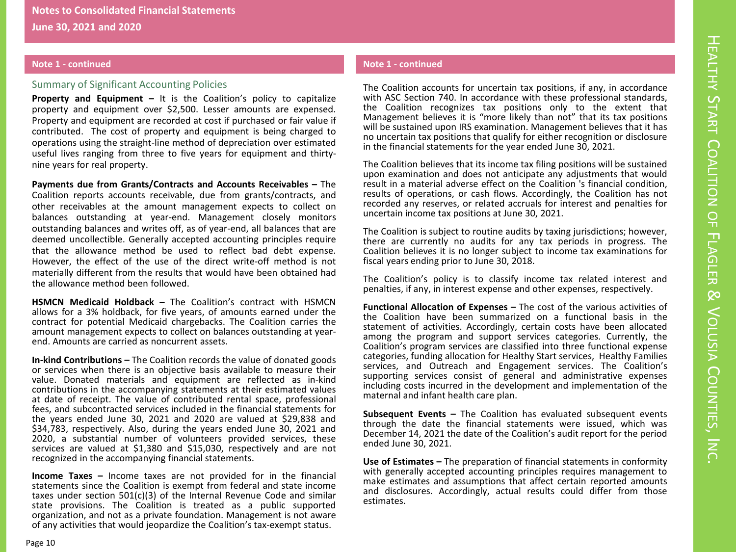### **Note 1 - continued**

#### Summary of Significant Accounting Policies

**Property and Equipment –** It is the Coalition's policy to capitalize property and equipment over \$2,500. Lesser amounts are expensed. Property and equipment are recorded at cost if purchased or fair value if contributed. The cost of property and equipment is being charged to operations using the straight-line method of depreciation over estimated useful lives ranging from three to five years for equipment and thirtynine years for real property.

**Payments due from Grants/Contracts and Accounts Receivables –** The Coalition reports accounts receivable, due from grants/contracts, and other receivables at the amount management expects to collect on balances outstanding at year-end. Management closely monitors outstanding balances and writes off, as of year-end, all balances that are deemed uncollectible. Generally accepted accounting principles require that the allowance method be used to reflect bad debt expense. However, the effect of the use of the direct write-off method is not materially different from the results that would have been obtained had the allowance method been followed.

**HSMCN Medicaid Holdback –** The Coalition's contract with HSMCN allows for a 3% holdback, for five years, of amounts earned under the contract for potential Medicaid chargebacks. The Coalition carries the amount management expects to collect on balances outstanding at yearend. Amounts are carried as noncurrent assets.

**In-kind Contributions –** The Coalition records the value of donated goods or services when there is an objective basis available to measure their value. Donated materials and equipment are reflected as in-kind contributions in the accompanying statements at their estimated values at date of receipt. The value of contributed rental space, professional fees, and subcontracted services included in the financial statements for the years ended June 30, 2021 and 2020 are valued at \$29,838 and \$34,783, respectively. Also, during the years ended June 30, 2021 and 2020, a substantial number of volunteers provided services, these services are valued at \$1,380 and \$15,030, respectively and are not recognized in the accompanying financial statements.

**Income Taxes –** Income taxes are not provided for in the financial statements since the Coalition is exempt from federal and state income taxes under section 501(c)(3) of the Internal Revenue Code and similar state provisions. The Coalition is treated as a public supported organization, and not as a private foundation. Management is not aware of any activities that would jeopardize the Coalition's tax-exempt status.

## **Note 1 - continued**

The Coalition accounts for uncertain tax positions, if any, in accordance with ASC Section 740. In accordance with these professional standards, the Coalition recognizes tax positions only to the extent that Management believes it is "more likely than not" that its tax positions will be sustained upon IRS examination. Management believes that it has no uncertain tax positions that qualify for either recognition or disclosure in the financial statements for the year ended June 30, 2021.

The Coalition believes that its income tax filing positions will be sustained upon examination and does not anticipate any adjustments that would result in a material adverse effect on the Coalition 's financial condition, results of operations, or cash flows. Accordingly, the Coalition has not recorded any reserves, or related accruals for interest and penalties for uncertain income tax positions at June 30, 2021.

The Coalition is subject to routine audits by taxing jurisdictions; however, there are currently no audits for any tax periods in progress. The Coalition believes it is no longer subject to income tax examinations for fiscal years ending prior to June 30, 2018.

The Coalition's policy is to classify income tax related interest and penalties, if any, in interest expense and other expenses, respectively.

**Functional Allocation of Expenses –** The cost of the various activities of the Coalition have been summarized on a functional basis in the statement of activities. Accordingly, certain costs have been allocated among the program and support services categories. Currently, the Coalition's program services are classified into three functional expense categories, funding allocation for Healthy Start services, Healthy Families services, and Outreach and Engagement services. The Coalition's supporting services consist of general and administrative expenses including costs incurred in the development and implementation of the maternal and infant health care plan.

**Subsequent Events –** The Coalition has evaluated subsequent events through the date the financial statements were issued, which was December 14, 2021 the date of the Coalition's audit report for the period ended June 30, 2021.

**Use of Estimates –** The preparation of financial statements in conformity with generally accepted accounting principles requires management to make estimates and assumptions that affect certain reported amounts and disclosures. Accordingly, actual results could differ from those estimates.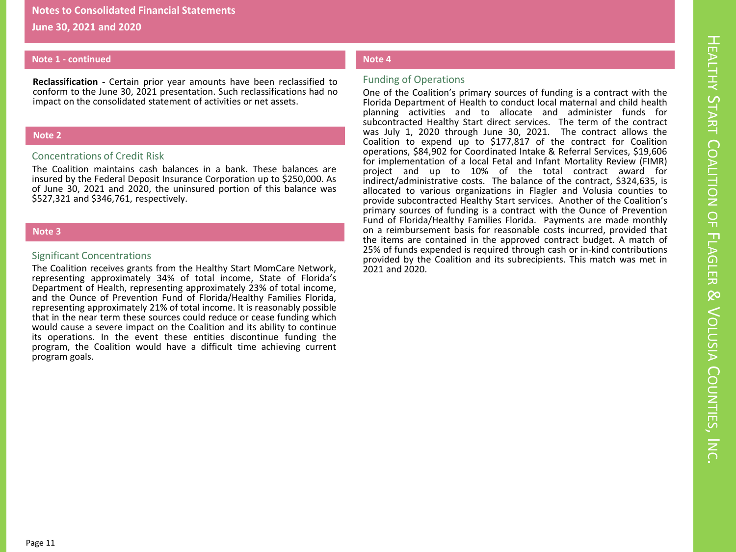#### **Note 1 - continued**

**Reclassification -** Certain prior year amounts have been reclassified to conform to the June 30, 2021 presentation. Such reclassifications had no impact on the consolidated statement of activities or net assets.

## **Note 2**

#### Concentrations of Credit Risk

The Coalition maintains cash balances in a bank. These balances are insured by the Federal Deposit Insurance Corporation up to \$250,000. As of June 30, 2021 and 2020, the uninsured portion of this balance was \$527,321 and \$346,761, respectively.

# **Note 3**

### Significant Concentrations

The Coalition receives grants from the Healthy Start MomCare Network, representing approximately 34% of total income, State of Florida's Department of Health, representing approximately 23% of total income, and the Ounce of Prevention Fund of Florida/Healthy Families Florida, representing approximately 21% of total income. It is reasonably possible that in the near term these sources could reduce or cease funding which would cause a severe impact on the Coalition and its ability to continue its operations. In the event these entities discontinue funding the program, the Coalition would have a difficult time achieving current program goals.

# **Note 4**

# Funding of Operations

One of the Coalition's primary sources of funding is a contract with the Florida Department of Health to conduct local maternal and child health planning activities and to allocate and administer funds for subcontracted Healthy Start direct services. The term of the contract was July 1, 2020 through June 30, 2021. The contract allows the Coalition to expend up to \$177,817 of the contract for Coalition operations, \$84,902 for Coordinated Intake & Referral Services, \$19,606 for implementation of a local Fetal and Infant Mortality Review (FIMR) project and up to 10% of the total contract award for indirect/administrative costs. The balance of the contract, \$324,635, is allocated to various organizations in Flagler and Volusia counties to provide subcontracted Healthy Start services. Another of the Coalition's primary sources of funding is a contract with the Ounce of Prevention Fund of Florida/Healthy Families Florida. Payments are made monthly on a reimbursement basis for reasonable costs incurred, provided that the items are contained in the approved contract budget. A match of 25% of funds expended is required through cash or in-kind contributions provided by the Coalition and its subrecipients. This match was met in 2021 and 2020.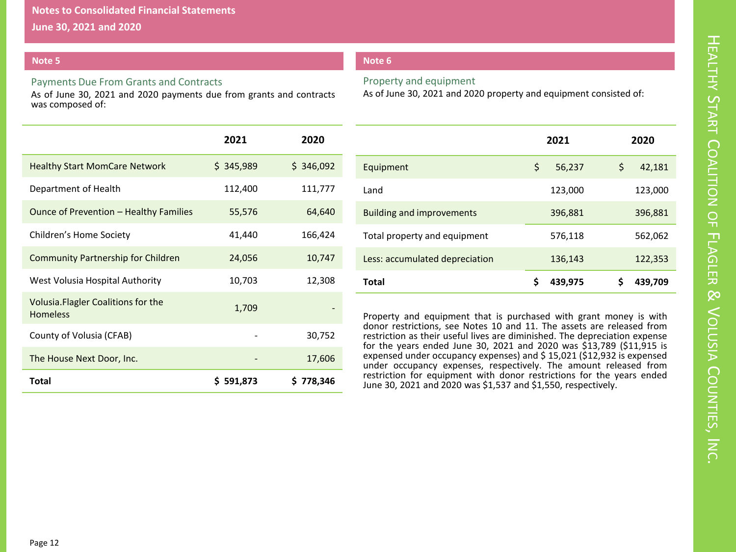# Payments Due From Grants and Contracts

As of June 30, 2021 and 2020 payments due from grants and contracts was composed of:

|                                                        | 2021      | 2020      |
|--------------------------------------------------------|-----------|-----------|
| <b>Healthy Start MomCare Network</b>                   | \$345,989 | \$346,092 |
| Department of Health                                   | 112,400   | 111,777   |
| Ounce of Prevention - Healthy Families                 | 55,576    | 64,640    |
| Children's Home Society                                | 41,440    | 166,424   |
| Community Partnership for Children                     | 24,056    | 10,747    |
| West Volusia Hospital Authority                        | 10,703    | 12,308    |
| Volusia. Flagler Coalitions for the<br><b>Homeless</b> | 1,709     |           |
| County of Volusia (CFAB)                               |           | 30,752    |
| The House Next Door, Inc.                              |           | 17,606    |
| Total                                                  | \$591,873 | 778,346   |

# **Note 6**

# Property and equipment

As of June 30, 2021 and 2020 property and equipment consisted of:

|                                  | 2021         | 2020         |
|----------------------------------|--------------|--------------|
| Equipment                        | \$<br>56,237 | \$<br>42,181 |
| Land                             | 123,000      | 123,000      |
| <b>Building and improvements</b> | 396,881      | 396,881      |
| Total property and equipment     | 576,118      | 562,062      |
| Less: accumulated depreciation   | 136,143      | 122,353      |
| Total                            | Ś<br>439,975 | 439,709      |

Property and equipment that is purchased with grant money is with donor restrictions, see Notes 10 and 11. The assets are released from restriction as their useful lives are diminished. The depreciation expense for the years ended June 30, 2021 and 2020 was \$13,789 (\$11,915 is expensed under occupancy expenses) and \$ 15,021 (\$12,932 is expensed under occupancy expenses, respectively. The amount released from restriction for equipment with donor restrictions for the years ended June 30, 2021 and 2020 was \$1,537 and \$1,550, respectively.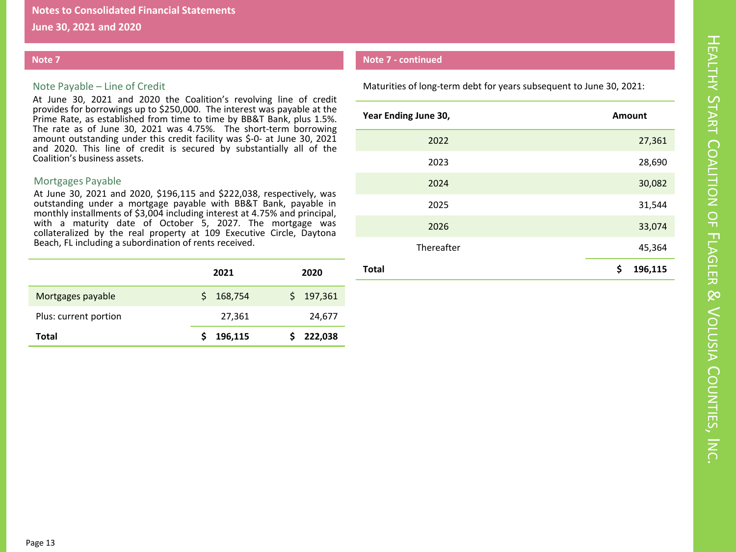### Note Payable – Line of Credit

At June 30, 2021 and 2020 the Coalition's revolving line of credit provides for borrowings up to \$250,000. The interest was payable at the Prime Rate, as established from time to time by BB&T Bank, plus 1.5%. The rate as of June 30, 2021 was 4.75%. The short-term borrowing amount outstanding under this credit facility was \$-0- at June 30, 2021 and 2020. This line of credit is secured by substantially all of the Coalition's business assets.

#### Mortgages Payable

At June 30, 2021 and 2020, \$196,115 and \$222,038, respectively, was outstanding under a mortgage payable with BB&T Bank, payable in monthly installments of \$3,004 including interest at 4.75% and principal, with a maturity date of October 5, 2027. The mortgage was collateralized by the real property at 109 Executive Circle, Daytona Beach, FL including a subordination of rents received.

|                       | 2021    | 2020    |
|-----------------------|---------|---------|
| Mortgages payable     | 168,754 | 197,361 |
| Plus: current portion | 27,361  | 24,677  |
| Total                 | 196,115 | 222,038 |

# **Note 7 - continued**

Maturities of long-term debt for years subsequent to June 30, 2021:

| Year Ending June 30, | <b>Amount</b> |
|----------------------|---------------|
| 2022                 | 27,361        |
| 2023                 | 28,690        |
| 2024                 | 30,082        |
| 2025                 | 31,544        |
| 2026                 | 33,074        |
| Thereafter           | 45,364        |
| <b>Total</b>         | \$<br>196,115 |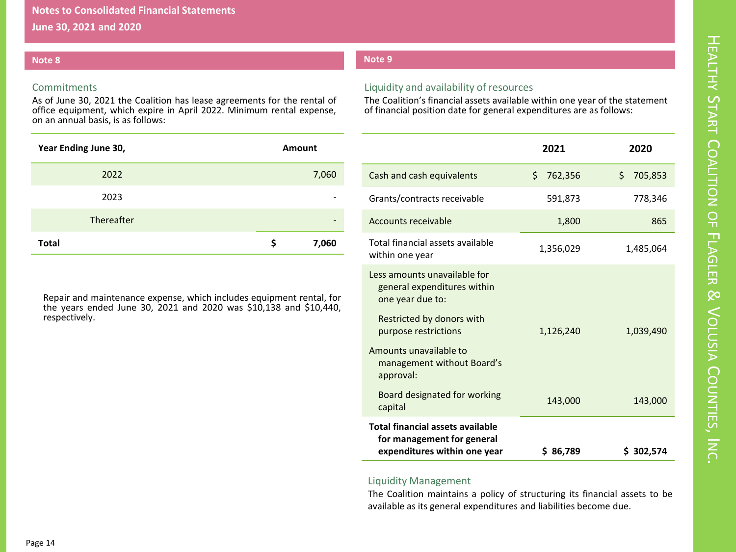# Commitments

As of June 30, 2021 the Coalition has lease agreements for the rental of office equipment, which expire in April 2022. Minimum rental expense, on an annual basis, is as follows:

| Year Ending June 30, | <b>Amount</b> |
|----------------------|---------------|
| 2022                 | 7,060         |
| 2023                 |               |
| Thereafter           | -             |
| <b>Total</b>         | \$<br>7,060   |

Repair and maintenance expense, which includes equipment rental, for the years ended June 30, 2021 and 2020 was \$10,138 and \$10,440, respectively.

# **Note 9**

# Liquidity and availability of resources

The Coalition's financial assets available within one year of the statement of financial position date for general expenditures are as follows:

|                                                                                                       | 2021          | 2020          |
|-------------------------------------------------------------------------------------------------------|---------------|---------------|
| Cash and cash equivalents                                                                             | Ś.<br>762,356 | \$<br>705,853 |
| Grants/contracts receivable                                                                           | 591,873       | 778,346       |
| <b>Accounts receivable</b>                                                                            | 1,800         | 865           |
| Total financial assets available<br>within one year                                                   | 1,356,029     | 1,485,064     |
| Less amounts unavailable for<br>general expenditures within<br>one year due to:                       |               |               |
| Restricted by donors with<br>purpose restrictions                                                     | 1,126,240     | 1,039,490     |
| Amounts unavailable to<br>management without Board's<br>approval:                                     |               |               |
| Board designated for working<br>capital                                                               | 143,000       | 143,000       |
| <b>Total financial assets available</b><br>for management for general<br>expenditures within one year | \$86,789      | \$302,574     |

# Liquidity Management

The Coalition maintains a policy of structuring its financial assets to be available as its general expenditures and liabilities become due.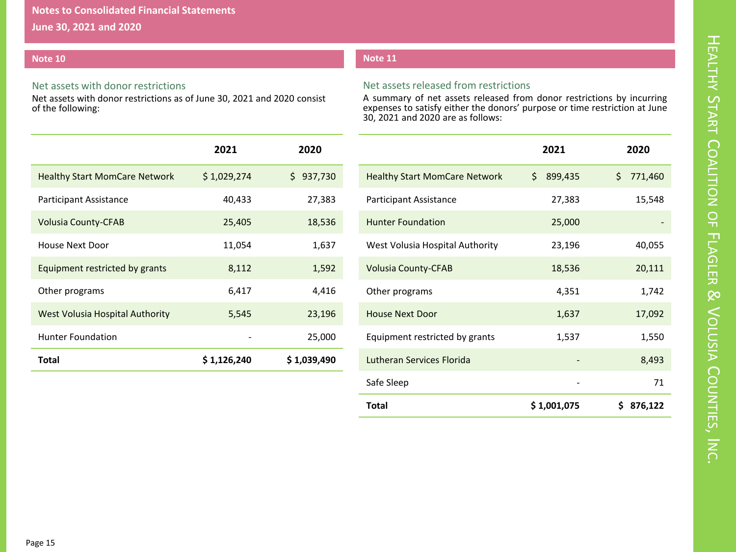**June 30, 2021 and 2020**

# **Note 10**

# Net assets with donor restrictions

Net assets with donor restrictions as of June 30, 2021 and 2020 consist of the following:

| Not |  |
|-----|--|
|     |  |

# Net assets released from restrictions

A summary of net assets released from donor restrictions by incurring expenses to satisfy either the donors' purpose or time restriction at June 30, 2021 and 2020 are as follows:

| 2021        | 2020        |
|-------------|-------------|
| \$1,029,274 | \$937,730   |
| 40,433      | 27,383      |
| 25,405      | 18,536      |
| 11,054      | 1,637       |
| 8,112       | 1,592       |
| 6,417       | 4,416       |
| 5,545       | 23,196      |
|             | 25,000      |
| \$1,126,240 | \$1,039,490 |
|             |             |

|                                      | 2021          | 2020          |
|--------------------------------------|---------------|---------------|
| <b>Healthy Start MomCare Network</b> | Ś.<br>899,435 | Ś.<br>771,460 |
| <b>Participant Assistance</b>        | 27,383        | 15,548        |
| <b>Hunter Foundation</b>             | 25,000        |               |
| West Volusia Hospital Authority      | 23,196        | 40,055        |
| <b>Volusia County-CFAB</b>           | 18,536        | 20,111        |
| Other programs                       | 4,351         | 1,742         |
| <b>House Next Door</b>               | 1,637         | 17,092        |
| Equipment restricted by grants       | 1,537         | 1,550         |
| <b>Lutheran Services Florida</b>     |               | 8,493         |
| Safe Sleep                           |               | 71            |
| <b>Total</b>                         | \$1,001,075   | 876,122<br>s  |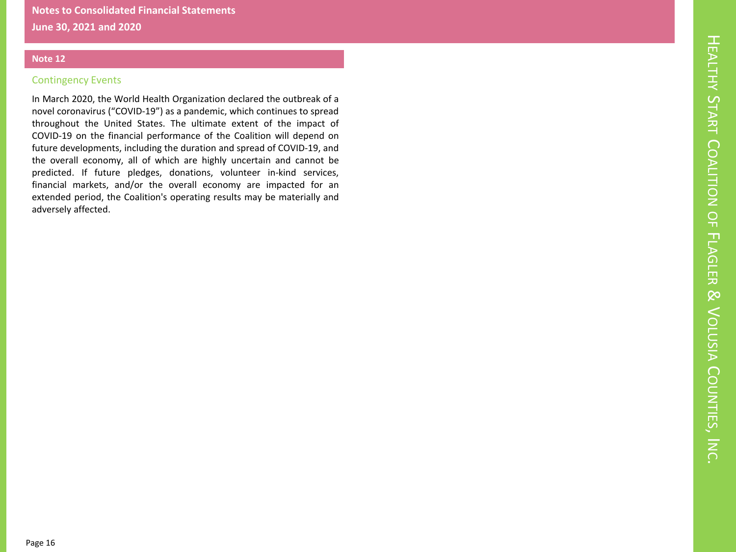# Contingency Events

In March 2020 , the World Health Organization declared the outbreak of a novel coronavirus ("COVID -19") as a pandemic, which continues to spread throughout the United States . The ultimate extent of the impact of COVID -19 on the financial performance of the Coalition will depend on future developments, including the duration and spread of COVID -19 , and the overall economy, all of which are highly uncertain and cannot be predicted . If future pledges, donations, volunteer in -kind services, financial markets, and/or the overall economy are impacted for an extended period, the Coalition's operating results may be materially and adversely affected .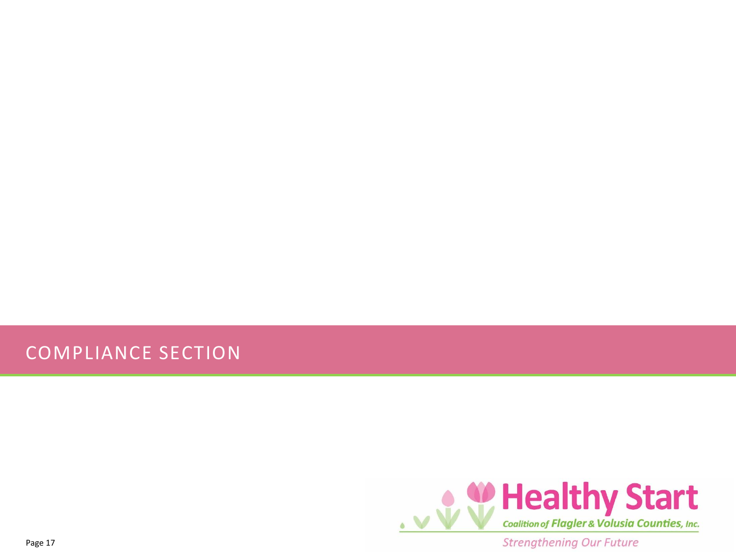COMPLIANCE SECTION

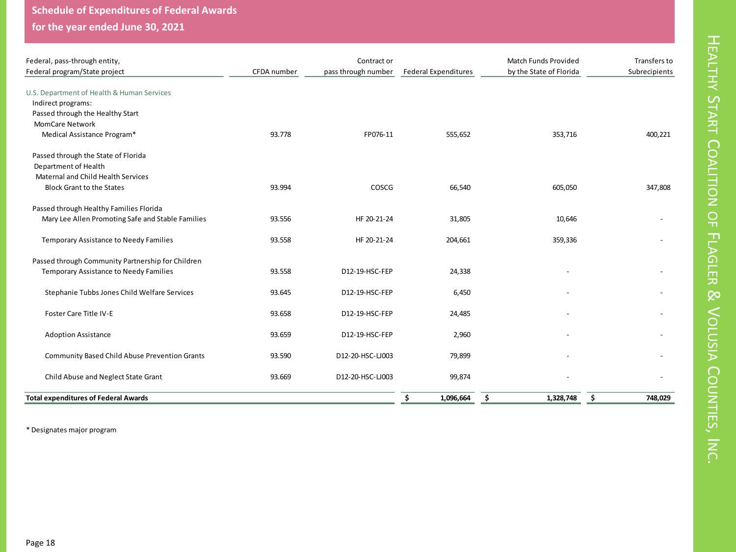# **Schedule of Expenditures of Federal Awards**

# **for the year ended June 30, 2021**

| Federal, pass-through entity,<br>Federal program/State project | CFDA number | Contract or<br>pass through number | <b>Federal Expenditures</b> | <b>Match Funds Provided</b><br>by the State of Florida | Transfers to<br>Subrecipients |
|----------------------------------------------------------------|-------------|------------------------------------|-----------------------------|--------------------------------------------------------|-------------------------------|
| U.S. Department of Health & Human Services                     |             |                                    |                             |                                                        |                               |
| Indirect programs:                                             |             |                                    |                             |                                                        |                               |
| Passed through the Healthy Start                               |             |                                    |                             |                                                        |                               |
| <b>MomCare Network</b>                                         |             |                                    |                             |                                                        |                               |
| Medical Assistance Program*                                    | 93.778      | FP076-11                           | 555,652                     | 353,716                                                | 400,221                       |
| Passed through the State of Florida                            |             |                                    |                             |                                                        |                               |
| Department of Health                                           |             |                                    |                             |                                                        |                               |
| Maternal and Child Health Services                             |             |                                    |                             |                                                        |                               |
| <b>Block Grant to the States</b>                               | 93.994      | COSCG                              | 66,540                      | 605,050                                                | 347,808                       |
| Passed through Healthy Families Florida                        |             |                                    |                             |                                                        |                               |
| Mary Lee Allen Promoting Safe and Stable Families              | 93.556      | HF 20-21-24                        | 31,805                      | 10,646                                                 |                               |
| Temporary Assistance to Needy Families                         | 93.558      | HF 20-21-24                        | 204,661                     | 359,336                                                |                               |
| Passed through Community Partnership for Children              |             |                                    |                             |                                                        |                               |
| Temporary Assistance to Needy Families                         | 93.558      | D12-19-HSC-FEP                     | 24,338                      |                                                        |                               |
| Stephanie Tubbs Jones Child Welfare Services                   | 93.645      | D12-19-HSC-FEP                     | 6,450                       |                                                        |                               |
| Foster Care Title IV-E                                         | 93.658      | D12-19-HSC-FEP                     | 24,485                      |                                                        |                               |
| <b>Adoption Assistance</b>                                     | 93.659      | D12-19-HSC-FEP                     | 2,960                       |                                                        |                               |
| <b>Community Based Child Abuse Prevention Grants</b>           | 93.590      | D12-20-HSC-LJ003                   | 79,899                      |                                                        |                               |
| Child Abuse and Neglect State Grant                            | 93.669      | D12-20-HSC-LJ003                   | 99,874                      |                                                        |                               |
| <b>Total expenditures of Federal Awards</b>                    |             |                                    | \$<br>1,096,664             | \$<br>1,328,748                                        | -\$<br>748,029                |

\* Designates major program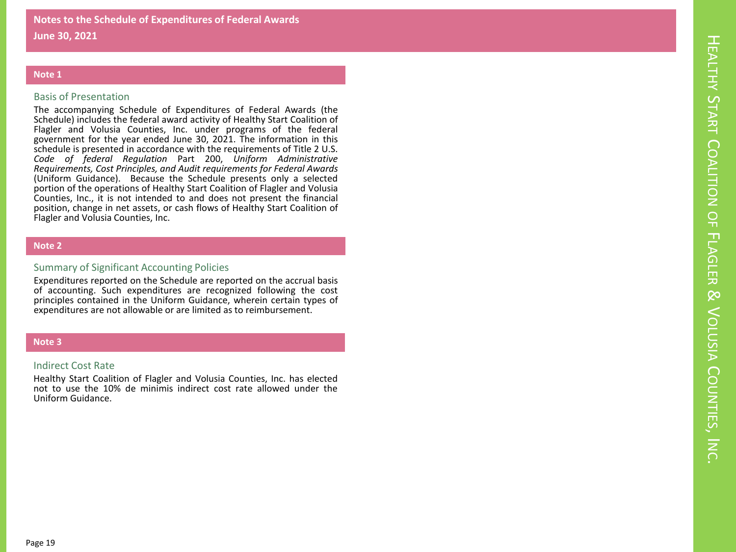#### Basis of Presentation

The accompanying Schedule of Expenditures of Federal Awards (the Schedule) includes the federal award activity of Healthy Start Coalition of Flagler and Volusia Counties, Inc . under programs of the federal government for the year ended June 30 , 2021 . The information in this schedule is presented in accordance with the requirements of Title 2 U . S . *Code of federal Regulation* Part 200 , *Uniform Administrative Requirements, Cost Principles, and Audit requirements for Federal Awards* (Uniform Guidance) . Because the Schedule presents only a selected portion of the operations of Healthy Start Coalition of Flagler and Volusia Counties, Inc., it is not intended to and does not present the financial position, change in net assets, or cash flows of Healthy Start Coalition of Flagler and Volusia Counties, Inc .

# **Note 2**

# Summary of Significant Accounting Policies

Expenditures reported on the Schedule are reported on the accrual basis of accounting . Such expenditures are recognized following the cost principles contained in the Uniform Guidance , wherein certain types of expenditures are not allowable or are limited as to reimbursement .

## **Note 3**

#### Indirect Cost Rate

Healthy Start Coalition of Flagler and Volusia Counties, Inc . has elected not to use the 10 % de minimis indirect cost rate allowed under the Uniform Guidance .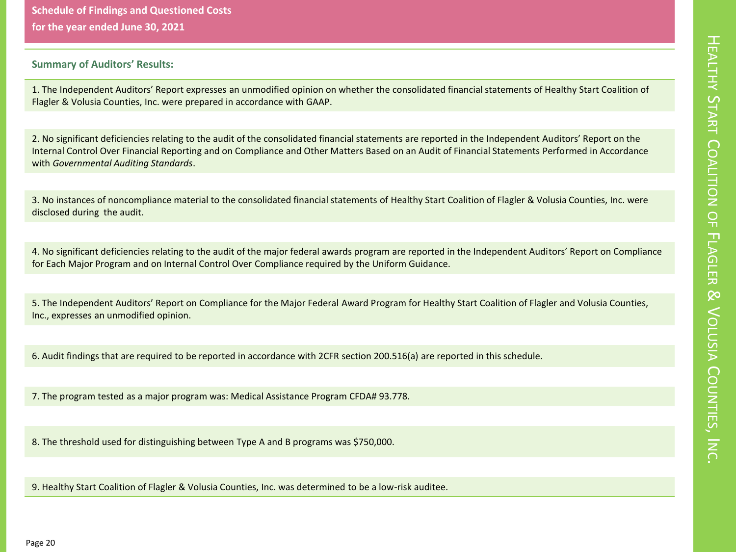## **Summary of Auditors' Results:**

1. The Independent Auditors' Report expresses an unmodified opinion on whether the consolidated financial statements of Healthy Start Coalition of Flagler & Volusia Counties, Inc. were prepared in accordance with GAAP.

2. No significant deficiencies relating to the audit of the consolidated financial statements are reported in the Independent Auditors' Report on the Internal Control Over Financial Reporting and on Compliance and Other Matters Based on an Audit of Financial Statements Performed in Accordance with *Governmental Auditing Standards*.

3. No instances of noncompliance material to the consolidated financial statements of Healthy Start Coalition of Flagler & Volusia Counties, Inc. were disclosed during the audit.

4. No significant deficiencies relating to the audit of the major federal awards program are reported in the Independent Auditors' Report on Compliance for Each Major Program and on Internal Control Over Compliance required by the Uniform Guidance.

5. The Independent Auditors' Report on Compliance for the Major Federal Award Program for Healthy Start Coalition of Flagler and Volusia Counties, Inc., expresses an unmodified opinion.

6. Audit findings that are required to be reported in accordance with 2CFR section 200.516(a) are reported in this schedule.

7. The program tested as a major program was: Medical Assistance Program CFDA# 93.778.

8. The threshold used for distinguishing between Type A and B programs was \$750,000.

9. Healthy Start Coalition of Flagler & Volusia Counties, Inc. was determined to be a low-risk auditee.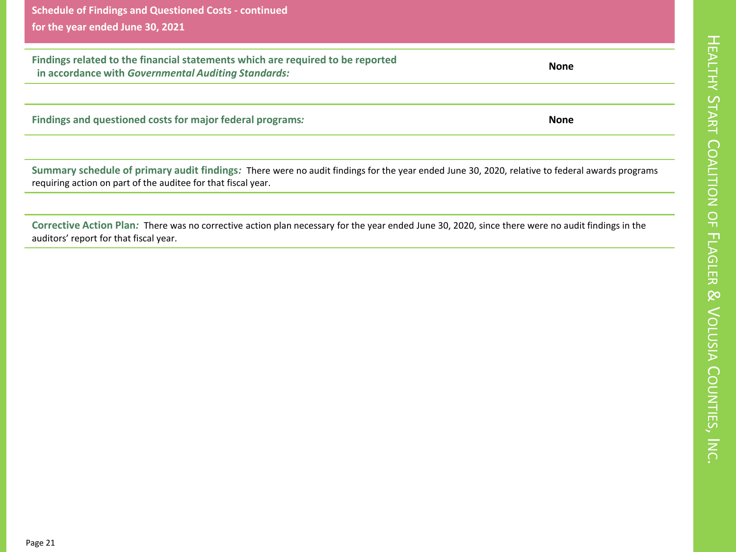EALTHY START  $\bigcap$ OALITION 으<br>ㅠ FLAGLER  $\approx$ OLUSIA  $\bigcap$ OUNTIES $\overline{\phantom{a}}$ NC.

H

**Schedule of Findings and Questioned Costs - continued for the year ended June 30, 2021**

**Findings related to the financial statements which are required to be reported in accordance with** *Governmental Auditing Standards:* **None** 

**Findings and questioned costs for major federal programs***:* **None** 

**Summary schedule of primary audit findings***:* There were no audit findings for the year ended June 30, 2020, relative to federal awards programs requiring action on part of the auditee for that fiscal year.

**Corrective Action Plan***:* There was no corrective action plan necessary for the year ended June 30, 2020, since there were no audit findings in the auditors' report for that fiscal year.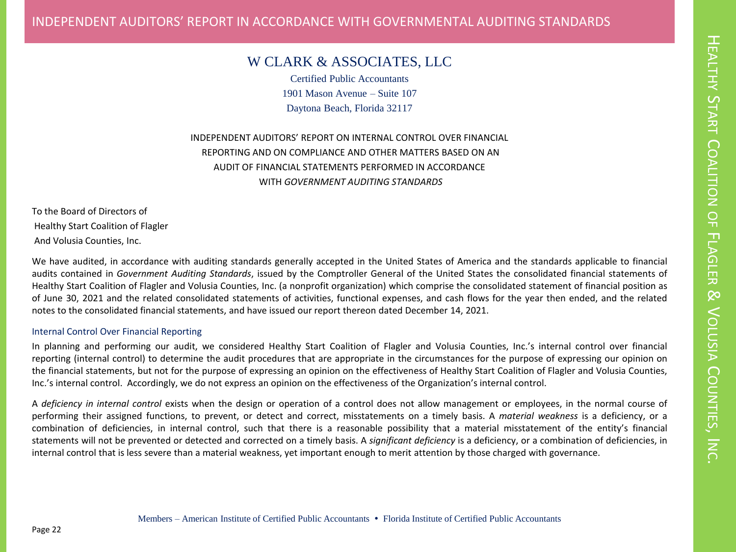# W CLARK & ASSOCIATES, LLC

Certified Public Accountants 1901 Mason Avenue – Suite 107 Daytona Beach, Florida 32117

INDEPENDENT AUDITORS' REPORT ON INTERNAL CONTROL OVER FINANCIAL REPORTING AND ON COMPLIANCE AND OTHER MATTERS BASED ON AN AUDIT OF FINANCIAL STATEMENTS PERFORMED IN ACCORDANCE WITH *GOVERNMENT AUDITING STANDARDS*

To the Board of Directors of Healthy Start Coalition of Flagler And Volusia Counties, Inc.

We have audited, in accordance with auditing standards generally accepted in the United States of America and the standards applicable to financial audits contained in *Government Auditing Standards*, issued by the Comptroller General of the United States the consolidated financial statements of Healthy Start Coalition of Flagler and Volusia Counties, Inc. (a nonprofit organization) which comprise the consolidated statement of financial position as of June 30, 2021 and the related consolidated statements of activities, functional expenses, and cash flows for the year then ended, and the related notes to the consolidated financial statements, and have issued our report thereon dated December 14, 2021.

#### Internal Control Over Financial Reporting

In planning and performing our audit, we considered Healthy Start Coalition of Flagler and Volusia Counties, Inc.'s internal control over financial reporting (internal control) to determine the audit procedures that are appropriate in the circumstances for the purpose of expressing our opinion on the financial statements, but not for the purpose of expressing an opinion on the effectiveness of Healthy Start Coalition of Flagler and Volusia Counties, Inc.'s internal control. Accordingly, we do not express an opinion on the effectiveness of the Organization's internal control.

A *deficiency in internal control* exists when the design or operation of a control does not allow management or employees, in the normal course of performing their assigned functions, to prevent, or detect and correct, misstatements on a timely basis. A *material weakness* is a deficiency, or a combination of deficiencies, in internal control, such that there is a reasonable possibility that a material misstatement of the entity's financial statements will not be prevented or detected and corrected on a timely basis. A *significant deficiency* is a deficiency, or a combination of deficiencies, in internal control that is less severe than a material weakness, yet important enough to merit attention by those charged with governance.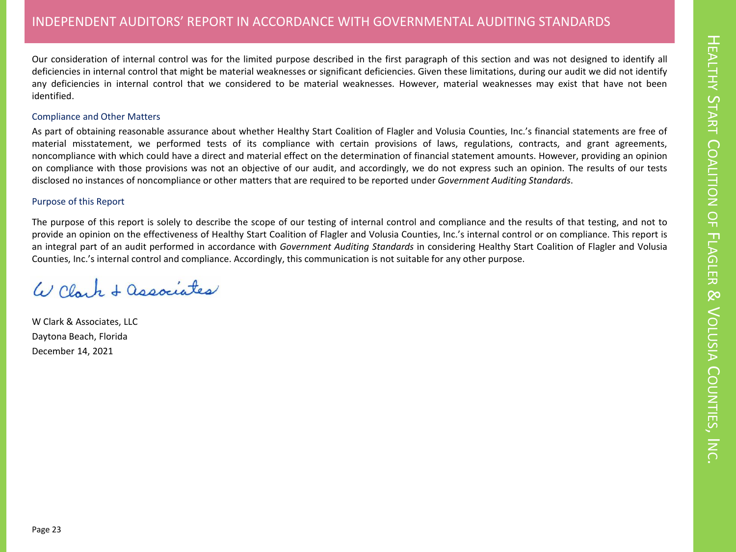Our consideration of internal control was for the limited purpose described in the first paragraph of this section and was not designed to identify all deficiencies in internal control that might be material weaknesses or significant deficiencies. Given these limitations, during our audit we did not identify any deficiencies in internal control that we considered to be material weaknesses. However, material weaknesses may exist that have not been identified.

#### Compliance and Other Matters

As part of obtaining reasonable assurance about whether Healthy Start Coalition of Flagler and Volusia Counties, Inc.'s financial statements are free of material misstatement, we performed tests of its compliance with certain provisions of laws, regulations, contracts, and grant agreements, noncompliance with which could have a direct and material effect on the determination of financial statement amounts. However, providing an opinion on compliance with those provisions was not an objective of our audit, and accordingly, we do not express such an opinion. The results of our tests disclosed no instances of noncompliance or other matters that are required to be reported under *Government Auditing Standards*.

#### Purpose of this Report

The purpose of this report is solely to describe the scope of our testing of internal control and compliance and the results of that testing, and not to provide an opinion on the effectiveness of Healthy Start Coalition of Flagler and Volusia Counties, Inc.'s internal control or on compliance. This report is an integral part of an audit performed in accordance with *Government Auditing Standards* in considering Healthy Start Coalition of Flagler and Volusia Counties, Inc.'s internal control and compliance. Accordingly, this communication is not suitable for any other purpose.

W Clark & associates

W Clark & Associates, LLC Daytona Beach, Florida December 14, 2021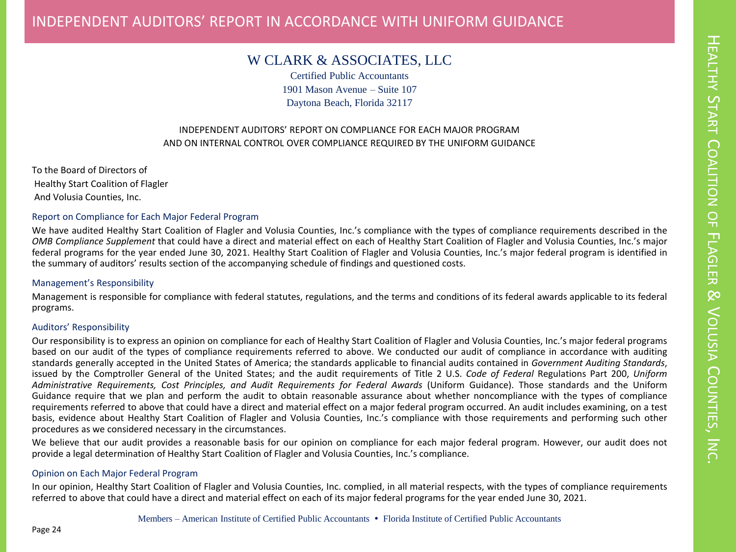# INDEPENDENT AUDITORS' REPORT IN ACCORDANCE WITH UNIFORM GUIDANCE

# W CLARK & ASSOCIATES, LLC

Certified Public Accountants 1901 Mason Avenue – Suite 107 Daytona Beach, Florida 32117

# INDEPENDENT AUDITORS' REPORT ON COMPLIANCE FOR EACH MAJOR PROGRAM AND ON INTERNAL CONTROL OVER COMPLIANCE REQUIRED BY THE UNIFORM GUIDANCE

To the Board of Directors of Healthy Start Coalition of Flagler And Volusia Counties, Inc.

### Report on Compliance for Each Major Federal Program

We have audited Healthy Start Coalition of Flagler and Volusia Counties, Inc.'s compliance with the types of compliance requirements described in the *OMB Compliance Supplement* that could have a direct and material effect on each of Healthy Start Coalition of Flagler and Volusia Counties, Inc.'s major federal programs for the year ended June 30, 2021. Healthy Start Coalition of Flagler and Volusia Counties, Inc.'s major federal program is identified in the summary of auditors' results section of the accompanying schedule of findings and questioned costs.

#### Management's Responsibility

Management is responsible for compliance with federal statutes, regulations, and the terms and conditions of its federal awards applicable to its federal programs.

#### Auditors' Responsibility

Our responsibility is to express an opinion on compliance for each of Healthy Start Coalition of Flagler and Volusia Counties, Inc.'s major federal programs based on our audit of the types of compliance requirements referred to above. We conducted our audit of compliance in accordance with auditing standards generally accepted in the United States of America; the standards applicable to financial audits contained in *Government Auditing Standards*, issued by the Comptroller General of the United States; and the audit requirements of Title 2 U.S. *Code of Federal* Regulations Part 200, *Uniform Administrative Requirements, Cost Principles, and Audit Requirements for Federal Awards* (Uniform Guidance). Those standards and the Uniform Guidance require that we plan and perform the audit to obtain reasonable assurance about whether noncompliance with the types of compliance requirements referred to above that could have a direct and material effect on a major federal program occurred. An audit includes examining, on a test basis, evidence about Healthy Start Coalition of Flagler and Volusia Counties, Inc.'s compliance with those requirements and performing such other procedures as we considered necessary in the circumstances.

We believe that our audit provides a reasonable basis for our opinion on compliance for each major federal program. However, our audit does not provide a legal determination of Healthy Start Coalition of Flagler and Volusia Counties, Inc.'s compliance.

#### Opinion on Each Major Federal Program

In our opinion, Healthy Start Coalition of Flagler and Volusia Counties, Inc. complied, in all material respects, with the types of compliance requirements referred to above that could have a direct and material effect on each of its major federal programs for the year ended June 30, 2021.